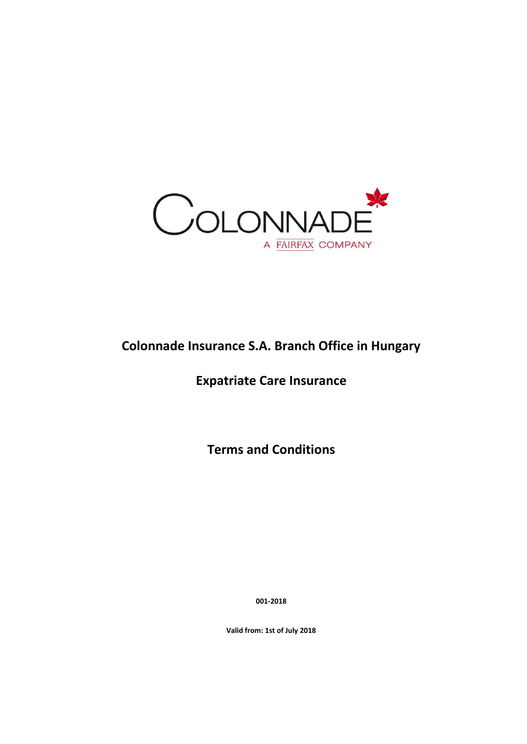

# **Colonnade Insurance S.A. Branch Office in Hungary**

## **Expatriate Care Insurance**

**Terms and Conditions**

**001-2018**

**Valid from: 1st of July 2018**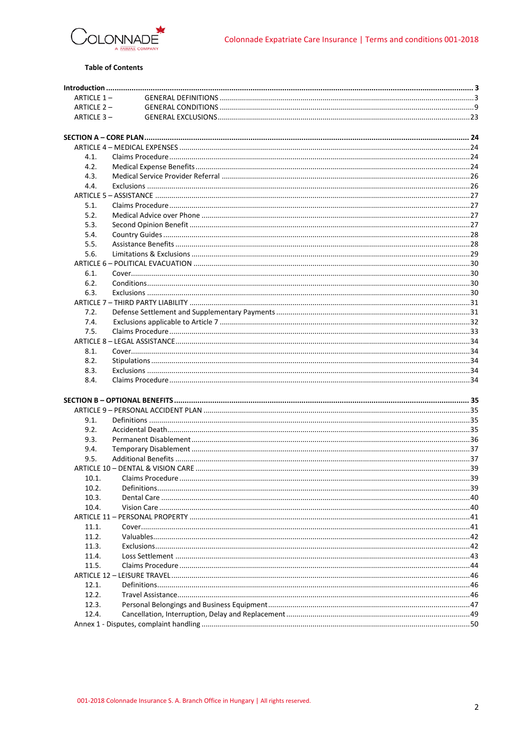

### **Table of Contents**

| ARTICLE 1- |  |
|------------|--|
| ARTICLE 2- |  |
| ARTICLE 3- |  |
|            |  |
|            |  |
|            |  |
| 4.1.       |  |
| 4.2.       |  |
| 4.3.       |  |
| 4.4.       |  |
|            |  |
| 5.1.       |  |
| 5.2.       |  |
| 5.3.       |  |
| 5.4.       |  |
| 5.5.       |  |
| 5.6.       |  |
|            |  |
| 6.1.       |  |
| 6.2.       |  |
| 6.3.       |  |
|            |  |
| 7.2.       |  |
| 7.4.       |  |
| 7.5.       |  |
|            |  |
| 8.1.       |  |
| 8.2.       |  |
| 8.3.       |  |
| 8.4.       |  |
|            |  |
|            |  |
|            |  |
| 9.1.       |  |
| 9.2.       |  |
| 9.3.       |  |
| 9.4.       |  |
| 9.5.       |  |
|            |  |
| 10.1.      |  |
| 10.2.      |  |
| 10.3.      |  |
| 10.4.      |  |
|            |  |
| 11.1.      |  |
| 11.2.      |  |
| 11.3.      |  |
| 11.4.      |  |
| 11.5.      |  |
|            |  |
| 12.1.      |  |
| 12.2.      |  |
| 12.3.      |  |
| 12.4.      |  |
|            |  |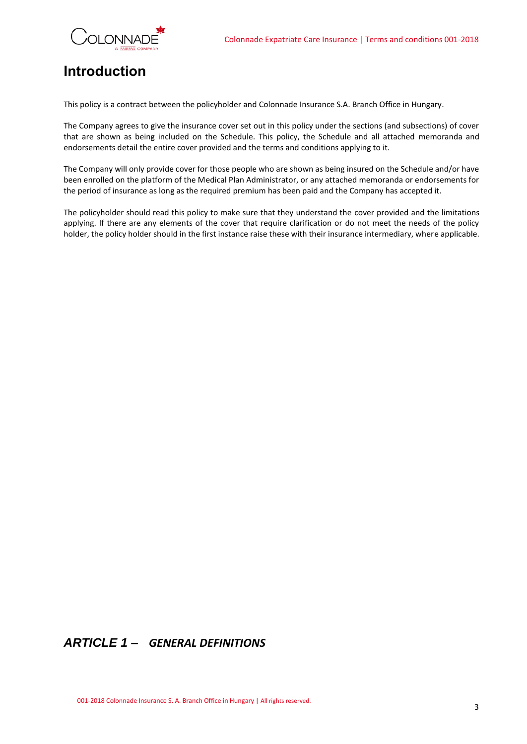

# <span id="page-2-0"></span>**Introduction**

This policy is a contract between the policyholder and Colonnade Insurance S.A. Branch Office in Hungary.

The Company agrees to give the insurance cover set out in this policy under the sections (and subsections) of cover that are shown as being included on the Schedule. This policy, the Schedule and all attached memoranda and endorsements detail the entire cover provided and the terms and conditions applying to it.

The Company will only provide cover for those people who are shown as being insured on the Schedule and/or have been enrolled on the platform of the Medical Plan Administrator, or any attached memoranda or endorsements for the period of insurance as long as the required premium has been paid and the Company has accepted it.

The policyholder should read this policy to make sure that they understand the cover provided and the limitations applying. If there are any elements of the cover that require clarification or do not meet the needs of the policy holder, the policy holder should in the first instance raise these with their insurance intermediary, where applicable.

## <span id="page-2-1"></span>*ARTICLE 1 – GENERAL DEFINITIONS*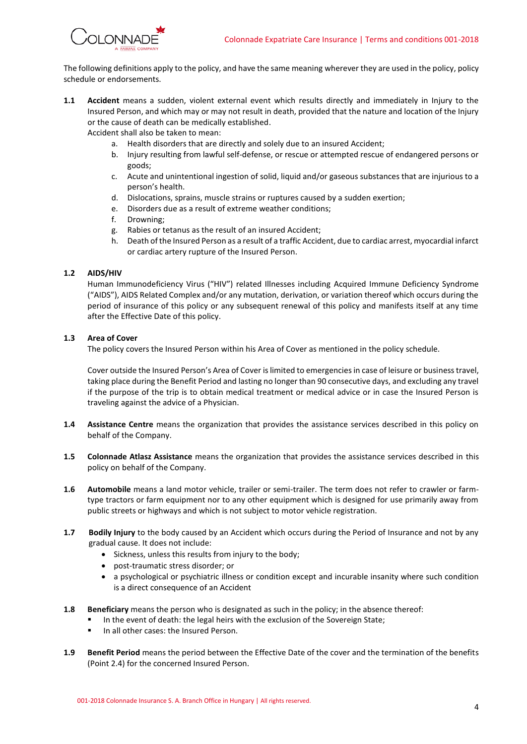

The following definitions apply to the policy, and have the same meaning wherever they are used in the policy, policy schedule or endorsements.

**1.1 Accident** means a sudden, violent external event which results directly and immediately in Injury to the Insured Person, and which may or may not result in death, provided that the nature and location of the Injury or the cause of death can be medically established.

Accident shall also be taken to mean:

- a. Health disorders that are directly and solely due to an insured Accident;
- b. Injury resulting from lawful self-defense, or rescue or attempted rescue of endangered persons or goods;
- c. Acute and unintentional ingestion of solid, liquid and/or gaseous substances that are injurious to a person's health.
- d. Dislocations, sprains, muscle strains or ruptures caused by a sudden exertion;
- e. Disorders due as a result of extreme weather conditions;
- f. Drowning;
- g. Rabies or tetanus as the result of an insured Accident;
- h. Death of the Insured Person as a result of a traffic Accident, due to cardiac arrest, myocardial infarct or cardiac artery rupture of the Insured Person.

### **1.2 AIDS/HIV**

Human Immunodeficiency Virus ("HIV") related Illnesses including Acquired Immune Deficiency Syndrome ("AIDS"), AIDS Related Complex and/or any mutation, derivation, or variation thereof which occurs during the period of insurance of this policy or any subsequent renewal of this policy and manifests itself at any time after the Effective Date of this policy.

### **1.3 Area of Cover**

The policy covers the Insured Person within his Area of Cover as mentioned in the policy schedule.

Cover outside the Insured Person's Area of Cover is limited to emergencies in case of leisure or business travel, taking place during the Benefit Period and lasting no longer than 90 consecutive days, and excluding any travel if the purpose of the trip is to obtain medical treatment or medical advice or in case the Insured Person is traveling against the advice of a Physician.

- **1.4 Assistance Centre** means the organization that provides the assistance services described in this policy on behalf of the Company.
- **1.5 Colonnade Atlasz Assistance** means the organization that provides the assistance services described in this policy on behalf of the Company.
- **1.6 Automobile** means a land motor vehicle, trailer or semi-trailer. The term does not refer to crawler or farmtype tractors or farm equipment nor to any other equipment which is designed for use primarily away from public streets or highways and which is not subject to motor vehicle registration.
- **1.7 Bodily Injury** to the body caused by an Accident which occurs during the Period of Insurance and not by any gradual cause. It does not include:
	- Sickness, unless this results from injury to the body;
	- post-traumatic stress disorder; or
	- a psychological or psychiatric illness or condition except and incurable insanity where such condition is a direct consequence of an Accident
- **1.8 Beneficiary** means the person who is designated as such in the policy; in the absence thereof:
	- In the event of death: the legal heirs with the exclusion of the Sovereign State;
	- In all other cases: the Insured Person.
- **1.9 Benefit Period** means the period between the Effective Date of the cover and the termination of the benefits (Point 2.4) for the concerned Insured Person.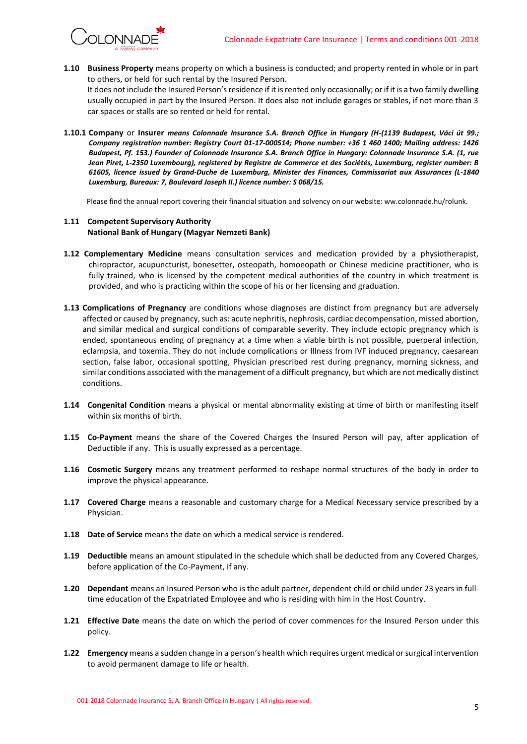

**1.10 Business Property** means property on which a business is conducted; and property rented in whole or in part to others, or held for such rental by the Insured Person.

It does not include the Insured Person's residence if it is rented only occasionally; or if it is a two family dwelling usually occupied in part by the Insured Person. It does also not include garages or stables, if not more than 3 car spaces or stalls are so rented or held for rental.

**1.10.1 Company** or **Insurer** *means Colonnade Insurance S.A. Branch Office in Hungary (H-(1139 Budapest, Váci út 99.; Company registration number: Registry Court 01-17-000514; Phone number: +36 1 460 1400; Mailing address: 1426 Budapest, Pf. 153.) Founder of Colonnade Insurance S.A. Branch Office in Hungary: Colonnade Insurance S.A. (1, rue Jean Piret, L-2350 Luxembourg), registered by Registre de Commerce et des Sociétés, Luxemburg, register number: B 61605, licence issued by Grand-Duche de Luxemburg, Minister des Finances, Commissariat aux Assurances (L-1840 Luxemburg, Bureaux: 7, Boulevard Joseph II.) licence number: S 068/15.*

Please find the annual report covering their financial situation and solvency on our website: ww.colonnade.hu/rolunk.

### **1.11 Competent Supervisory Authority National Bank of Hungary (Magyar Nemzeti Bank)**

- **1.12 Complementary Medicine** means consultation services and medication provided by a physiotherapist, chiropractor, acupuncturist, bonesetter, osteopath, homoeopath or Chinese medicine practitioner, who is fully trained, who is licensed by the competent medical authorities of the country in which treatment is provided, and who is practicing within the scope of his or her licensing and graduation.
- **1.13 Complications of Pregnancy** are conditions whose diagnoses are distinct from pregnancy but are adversely affected or caused by pregnancy, such as: acute nephritis, nephrosis, cardiac decompensation, missed abortion, and similar medical and surgical conditions of comparable severity. They include ectopic pregnancy which is ended, spontaneous ending of pregnancy at a time when a viable birth is not possible, puerperal infection, eclampsia, and toxemia. They do not include complications or Illness from IVF induced pregnancy, caesarean section, false labor, occasional spotting, Physician prescribed rest during pregnancy, morning sickness, and similar conditions associated with the management of a difficult pregnancy, but which are not medically distinct conditions.
- **1.14 Congenital Condition** means a physical or mental abnormality existing at time of birth or manifesting itself within six months of birth.
- **1.15 Co-Payment** means the share of the Covered Charges the Insured Person will pay, after application of Deductible if any. This is usually expressed as a percentage.
- **1.16 Cosmetic Surgery** means any treatment performed to reshape normal structures of the body in order to improve the physical appearance.
- **1.17 Covered Charge** means a reasonable and customary charge for a Medical Necessary service prescribed by a Physician.
- **1.18 Date of Service** means the date on which a medical service is rendered.
- **1.19 Deductible** means an amount stipulated in the schedule which shall be deducted from any Covered Charges, before application of the Co-Payment, if any.
- **1.20 Dependant** means an Insured Person who is the adult partner, dependent child or child under 23 years in fulltime education of the Expatriated Employee and who is residing with him in the Host Country.
- **1.21 Effective Date** means the date on which the period of cover commences for the Insured Person under this policy.
- **1.22 Emergency** means a sudden change in a person's health which requires urgent medical or surgical intervention to avoid permanent damage to life or health.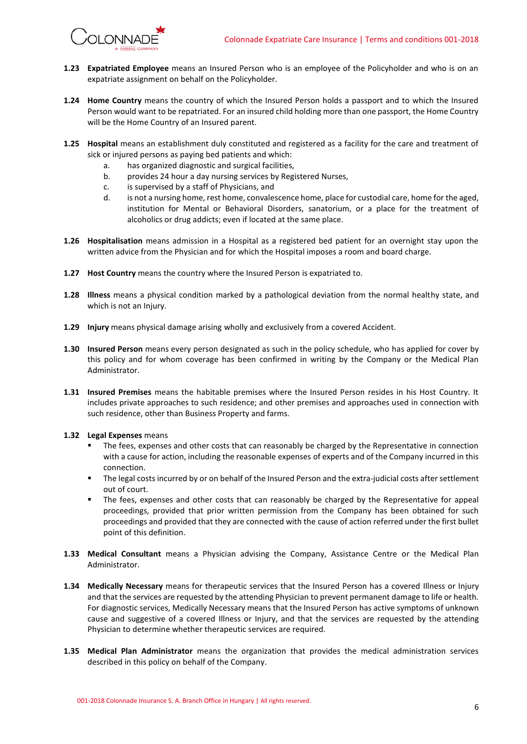

- **1.23 Expatriated Employee** means an Insured Person who is an employee of the Policyholder and who is on an expatriate assignment on behalf on the Policyholder.
- **1.24 Home Country** means the country of which the Insured Person holds a passport and to which the Insured Person would want to be repatriated. For an insured child holding more than one passport, the Home Country will be the Home Country of an Insured parent.
- **1.25 Hospital** means an establishment duly constituted and registered as a facility for the care and treatment of sick or injured persons as paying bed patients and which:
	- a. has organized diagnostic and surgical facilities,
	- b. provides 24 hour a day nursing services by Registered Nurses,
	- c. is supervised by a staff of Physicians, and
	- d. is not a nursing home, rest home, convalescence home, place for custodial care, home for the aged, institution for Mental or Behavioral Disorders, sanatorium, or a place for the treatment of alcoholics or drug addicts; even if located at the same place.
- **1.26 Hospitalisation** means admission in a Hospital as a registered bed patient for an overnight stay upon the written advice from the Physician and for which the Hospital imposes a room and board charge.
- **1.27 Host Country** means the country where the Insured Person is expatriated to.
- **1.28 Illness** means a physical condition marked by a pathological deviation from the normal healthy state, and which is not an Injury.
- **1.29 Injury** means physical damage arising wholly and exclusively from a covered Accident.
- **1.30 Insured Person** means every person designated as such in the policy schedule, who has applied for cover by this policy and for whom coverage has been confirmed in writing by the Company or the Medical Plan Administrator.
- **1.31 Insured Premises** means the habitable premises where the Insured Person resides in his Host Country. It includes private approaches to such residence; and other premises and approaches used in connection with such residence, other than Business Property and farms.
- **1.32 Legal Expenses** means
	- The fees, expenses and other costs that can reasonably be charged by the Representative in connection with a cause for action, including the reasonable expenses of experts and of the Company incurred in this connection.
	- The legal costs incurred by or on behalf of the Insured Person and the extra-judicial costs after settlement out of court.
	- **•** The fees, expenses and other costs that can reasonably be charged by the Representative for appeal proceedings, provided that prior written permission from the Company has been obtained for such proceedings and provided that they are connected with the cause of action referred under the first bullet point of this definition.
- **1.33 Medical Consultant** means a Physician advising the Company, Assistance Centre or the Medical Plan Administrator.
- **1.34 Medically Necessary** means for therapeutic services that the Insured Person has a covered Illness or Injury and that the services are requested by the attending Physician to prevent permanent damage to life or health. For diagnostic services, Medically Necessary means that the Insured Person has active symptoms of unknown cause and suggestive of a covered Illness or Injury, and that the services are requested by the attending Physician to determine whether therapeutic services are required.
- **1.35 Medical Plan Administrator** means the organization that provides the medical administration services described in this policy on behalf of the Company.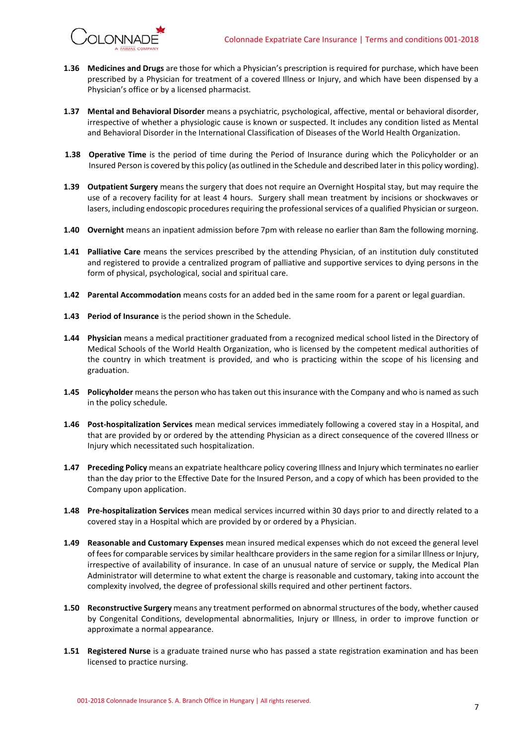

- **1.36 Medicines and Drugs** are those for which a Physician's prescription is required for purchase, which have been prescribed by a Physician for treatment of a covered Illness or Injury, and which have been dispensed by a Physician's office or by a licensed pharmacist.
- **1.37 Mental and Behavioral Disorder** means a psychiatric, psychological, affective, mental or behavioral disorder, irrespective of whether a physiologic cause is known or suspected. It includes any condition listed as Mental and Behavioral Disorder in the International Classification of Diseases of the World Health Organization.
- **1.38 Operative Time** is the period of time during the Period of Insurance during which the Policyholder or an Insured Person is covered by this policy (as outlined in the Schedule and described later in this policy wording).
- **1.39 Outpatient Surgery** means the surgery that does not require an Overnight Hospital stay, but may require the use of a recovery facility for at least 4 hours. Surgery shall mean treatment by incisions or shockwaves or lasers, including endoscopic procedures requiring the professional services of a qualified Physician or surgeon.
- **1.40 Overnight** means an inpatient admission before 7pm with release no earlier than 8am the following morning.
- **1.41 Palliative Care** means the services prescribed by the attending Physician, of an institution duly constituted and registered to provide a centralized program of palliative and supportive services to dying persons in the form of physical, psychological, social and spiritual care.
- **1.42 Parental Accommodation** means costs for an added bed in the same room for a parent or legal guardian.
- **1.43 Period of Insurance** is the period shown in the Schedule.
- **1.44 Physician** means a medical practitioner graduated from a recognized medical school listed in the Directory of Medical Schools of the World Health Organization, who is licensed by the competent medical authorities of the country in which treatment is provided, and who is practicing within the scope of his licensing and graduation.
- **1.45 Policyholder** means the person who has taken out this insurance with the Company and who is named as such in the policy schedule.
- **1.46 Post-hospitalization Services** mean medical services immediately following a covered stay in a Hospital, and that are provided by or ordered by the attending Physician as a direct consequence of the covered Illness or Injury which necessitated such hospitalization.
- **1.47 Preceding Policy** means an expatriate healthcare policy covering Illness and Injury which terminates no earlier than the day prior to the Effective Date for the Insured Person, and a copy of which has been provided to the Company upon application.
- **1.48 Pre-hospitalization Services** mean medical services incurred within 30 days prior to and directly related to a covered stay in a Hospital which are provided by or ordered by a Physician.
- **1.49 Reasonable and Customary Expenses** mean insured medical expenses which do not exceed the general level of fees for comparable services by similar healthcare providersin the same region for a similar Illness or Injury, irrespective of availability of insurance. In case of an unusual nature of service or supply, the Medical Plan Administrator will determine to what extent the charge is reasonable and customary, taking into account the complexity involved, the degree of professional skills required and other pertinent factors.
- **1.50 Reconstructive Surgery** means any treatment performed on abnormal structures of the body, whether caused by Congenital Conditions, developmental abnormalities, Injury or Illness, in order to improve function or approximate a normal appearance.
- **1.51 Registered Nurse** is a graduate trained nurse who has passed a state registration examination and has been licensed to practice nursing.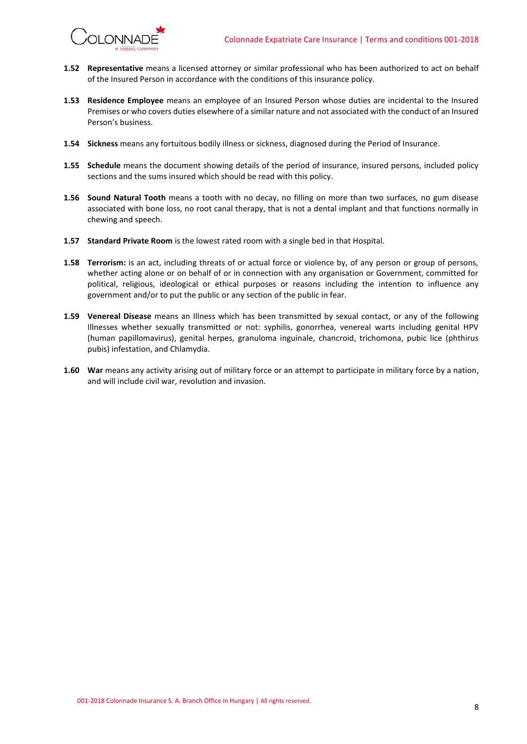

- **1.52 Representative** means a licensed attorney or similar professional who has been authorized to act on behalf of the Insured Person in accordance with the conditions of this insurance policy.
- **1.53 Residence Employee** means an employee of an Insured Person whose duties are incidental to the Insured Premises or who covers duties elsewhere of a similar nature and not associated with the conduct of an Insured Person's business.
- **1.54 Sickness** means any fortuitous bodily illness or sickness, diagnosed during the Period of Insurance.
- **1.55 Schedule** means the document showing details of the period of insurance, insured persons, included policy sections and the sums insured which should be read with this policy.
- **1.56 Sound Natural Tooth** means a tooth with no decay, no filling on more than two surfaces, no gum disease associated with bone loss, no root canal therapy, that is not a dental implant and that functions normally in chewing and speech.
- **1.57 Standard Private Room** is the lowest rated room with a single bed in that Hospital.
- **1.58 Terrorism:** is an act, including threats of or actual force or violence by, of any person or group of persons, whether acting alone or on behalf of or in connection with any organisation or Government, committed for political, religious, ideological or ethical purposes or reasons including the intention to influence any government and/or to put the public or any section of the public in fear.
- **1.59 Venereal Disease** means an Illness which has been transmitted by sexual contact, or any of the following Illnesses whether sexually transmitted or not: syphilis, gonorrhea, venereal warts including genital HPV (human papillomavirus), genital herpes, granuloma inguinale, chancroid, trichomona, pubic lice (phthirus pubis) infestation, and Chlamydia.
- **1.60 War** means any activity arising out of military force or an attempt to participate in military force by a nation, and will include civil war, revolution and invasion.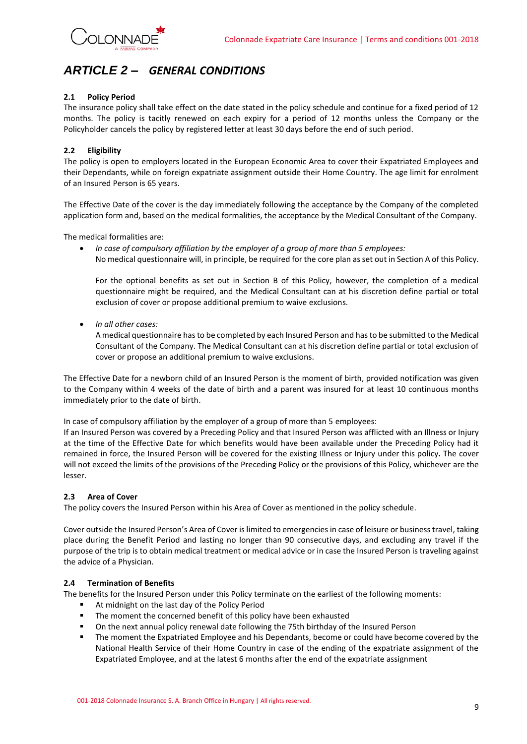

## <span id="page-8-0"></span>*ARTICLE 2 – GENERAL CONDITIONS*

### **2.1 Policy Period**

The insurance policy shall take effect on the date stated in the policy schedule and continue for a fixed period of 12 months. The policy is tacitly renewed on each expiry for a period of 12 months unless the Company or the Policyholder cancels the policy by registered letter at least 30 days before the end of such period.

### **2.2 Eligibility**

The policy is open to employers located in the European Economic Area to cover their Expatriated Employees and their Dependants, while on foreign expatriate assignment outside their Home Country. The age limit for enrolment of an Insured Person is 65 years.

The Effective Date of the cover is the day immediately following the acceptance by the Company of the completed application form and, based on the medical formalities, the acceptance by the Medical Consultant of the Company.

The medical formalities are:

• *In case of compulsory affiliation by the employer of a group of more than 5 employees:* No medical questionnaire will, in principle, be required for the core plan as set out in Section A of this Policy.

For the optional benefits as set out in Section B of this Policy, however, the completion of a medical questionnaire might be required, and the Medical Consultant can at his discretion define partial or total exclusion of cover or propose additional premium to waive exclusions.

• *In all other cases:*

A medical questionnaire has to be completed by each Insured Person and has to be submitted to the Medical Consultant of the Company. The Medical Consultant can at his discretion define partial or total exclusion of cover or propose an additional premium to waive exclusions.

The Effective Date for a newborn child of an Insured Person is the moment of birth, provided notification was given to the Company within 4 weeks of the date of birth and a parent was insured for at least 10 continuous months immediately prior to the date of birth.

In case of compulsory affiliation by the employer of a group of more than 5 employees:

If an Insured Person was covered by a Preceding Policy and that Insured Person was afflicted with an Illness or Injury at the time of the Effective Date for which benefits would have been available under the Preceding Policy had it remained in force, the Insured Person will be covered for the existing Illness or Injury under this policy**.** The cover will not exceed the limits of the provisions of the Preceding Policy or the provisions of this Policy, whichever are the lesser.

### **2.3 Area of Cover**

The policy covers the Insured Person within his Area of Cover as mentioned in the policy schedule.

Cover outside the Insured Person's Area of Cover is limited to emergencies in case of leisure or business travel, taking place during the Benefit Period and lasting no longer than 90 consecutive days, and excluding any travel if the purpose of the trip is to obtain medical treatment or medical advice or in case the Insured Person is traveling against the advice of a Physician.

### **2.4 Termination of Benefits**

The benefits for the Insured Person under this Policy terminate on the earliest of the following moments:

- At midnight on the last day of the Policy Period
- **■** The moment the concerned benefit of this policy have been exhausted
- On the next annual policy renewal date following the 75th birthday of the Insured Person
- The moment the Expatriated Employee and his Dependants, become or could have become covered by the National Health Service of their Home Country in case of the ending of the expatriate assignment of the Expatriated Employee, and at the latest 6 months after the end of the expatriate assignment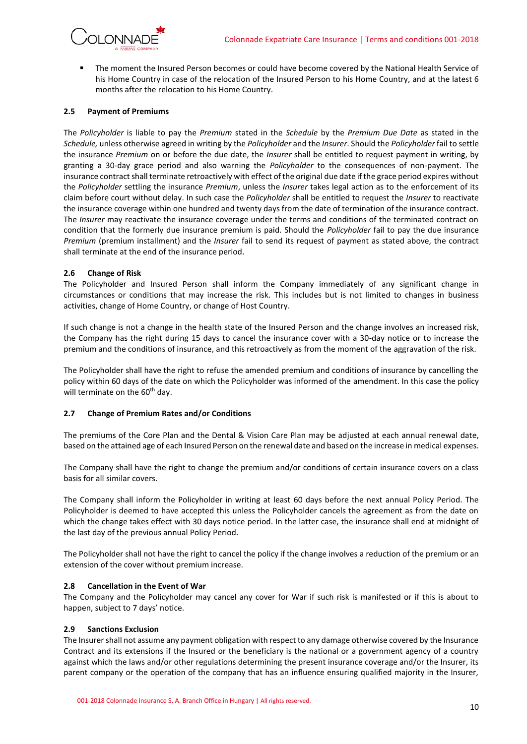

The moment the Insured Person becomes or could have become covered by the National Health Service of his Home Country in case of the relocation of the Insured Person to his Home Country, and at the latest 6 months after the relocation to his Home Country.

### **2.5 Payment of Premiums**

The *Policyholder* is liable to pay the *Premium* stated in the *Schedule* by the *Premium Due Date* as stated in the *Schedule,* unless otherwise agreed in writing by the *Policyholder* and the *Insurer*. Should the *Policyholder* fail to settle the insurance *Premium* on or before the due date, the *Insurer* shall be entitled to request payment in writing, by granting a 30-day grace period and also warning the *Policyholder* to the consequences of non-payment. The insurance contract shall terminate retroactively with effect of the original due date if the grace period expires without the *Policyholder* settling the insurance *Premium*, unless the *Insurer* takes legal action as to the enforcement of its claim before court without delay. In such case the *Policyholder* shall be entitled to request the *Insurer* to reactivate the insurance coverage within one hundred and twenty days from the date of termination of the insurance contract. The *Insurer* may reactivate the insurance coverage under the terms and conditions of the terminated contract on condition that the formerly due insurance premium is paid. Should the *Policyholder* fail to pay the due insurance *Premium* (premium installment) and the *Insurer* fail to send its request of payment as stated above, the contract shall terminate at the end of the insurance period.

### **2.6 Change of Risk**

The Policyholder and Insured Person shall inform the Company immediately of any significant change in circumstances or conditions that may increase the risk. This includes but is not limited to changes in business activities, change of Home Country, or change of Host Country.

If such change is not a change in the health state of the Insured Person and the change involves an increased risk, the Company has the right during 15 days to cancel the insurance cover with a 30-day notice or to increase the premium and the conditions of insurance, and this retroactively as from the moment of the aggravation of the risk.

The Policyholder shall have the right to refuse the amended premium and conditions of insurance by cancelling the policy within 60 days of the date on which the Policyholder was informed of the amendment. In this case the policy will terminate on the 60<sup>th</sup> day.

### **2.7 Change of Premium Rates and/or Conditions**

The premiums of the Core Plan and the Dental & Vision Care Plan may be adjusted at each annual renewal date, based on the attained age of each Insured Person on the renewal date and based on the increase in medical expenses.

The Company shall have the right to change the premium and/or conditions of certain insurance covers on a class basis for all similar covers.

The Company shall inform the Policyholder in writing at least 60 days before the next annual Policy Period. The Policyholder is deemed to have accepted this unless the Policyholder cancels the agreement as from the date on which the change takes effect with 30 days notice period. In the latter case, the insurance shall end at midnight of the last day of the previous annual Policy Period.

The Policyholder shall not have the right to cancel the policy if the change involves a reduction of the premium or an extension of the cover without premium increase.

### **2.8 Cancellation in the Event of War**

The Company and the Policyholder may cancel any cover for War if such risk is manifested or if this is about to happen, subject to 7 days' notice.

### **2.9 Sanctions Exclusion**

The Insurer shall not assume any payment obligation with respect to any damage otherwise covered by the Insurance Contract and its extensions if the Insured or the beneficiary is the national or a government agency of a country against which the laws and/or other regulations determining the present insurance coverage and/or the Insurer, its parent company or the operation of the company that has an influence ensuring qualified majority in the Insurer,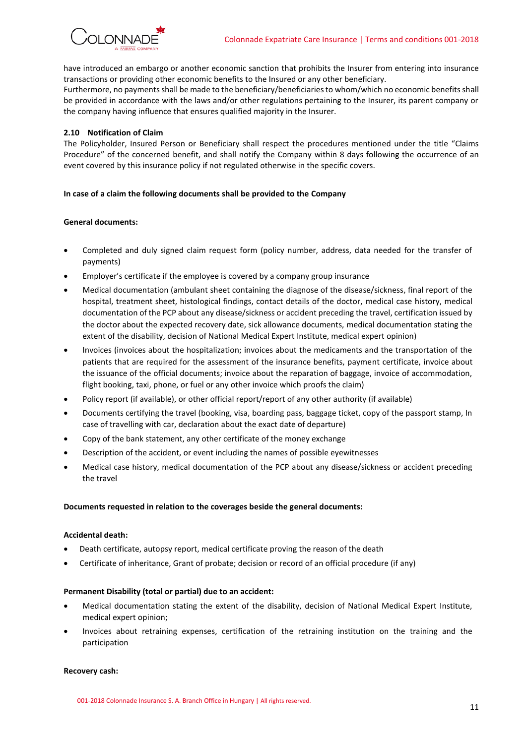

have introduced an embargo or another economic sanction that prohibits the Insurer from entering into insurance transactions or providing other economic benefits to the Insured or any other beneficiary.

Furthermore, no payments shall be made to the beneficiary/beneficiaries to whom/which no economic benefits shall be provided in accordance with the laws and/or other regulations pertaining to the Insurer, its parent company or the company having influence that ensures qualified majority in the Insurer.

### **2.10 Notification of Claim**

The Policyholder, Insured Person or Beneficiary shall respect the procedures mentioned under the title "Claims Procedure" of the concerned benefit, and shall notify the Company within 8 days following the occurrence of an event covered by this insurance policy if not regulated otherwise in the specific covers.

### **In case of a claim the following documents shall be provided to the Company**

### **General documents:**

- Completed and duly signed claim request form (policy number, address, data needed for the transfer of payments)
- Employer's certificate if the employee is covered by a company group insurance
- Medical documentation (ambulant sheet containing the diagnose of the disease/sickness, final report of the hospital, treatment sheet, histological findings, contact details of the doctor, medical case history, medical documentation of the PCP about any disease/sickness or accident preceding the travel, certification issued by the doctor about the expected recovery date, sick allowance documents, medical documentation stating the extent of the disability, decision of National Medical Expert Institute, medical expert opinion)
- Invoices (invoices about the hospitalization; invoices about the medicaments and the transportation of the patients that are required for the assessment of the insurance benefits, payment certificate, invoice about the issuance of the official documents; invoice about the reparation of baggage, invoice of accommodation, flight booking, taxi, phone, or fuel or any other invoice which proofs the claim)
- Policy report (if available), or other official report/report of any other authority (if available)
- Documents certifying the travel (booking, visa, boarding pass, baggage ticket, copy of the passport stamp, In case of travelling with car, declaration about the exact date of departure)
- Copy of the bank statement, any other certificate of the money exchange
- Description of the accident, or event including the names of possible eyewitnesses
- Medical case history, medical documentation of the PCP about any disease/sickness or accident preceding the travel

### **Documents requested in relation to the coverages beside the general documents:**

### **Accidental death:**

- Death certificate, autopsy report, medical certificate proving the reason of the death
- Certificate of inheritance, Grant of probate; decision or record of an official procedure (if any)

### **Permanent Disability (total or partial) due to an accident:**

- Medical documentation stating the extent of the disability, decision of National Medical Expert Institute, medical expert opinion;
- Invoices about retraining expenses, certification of the retraining institution on the training and the participation

#### **Recovery cash:**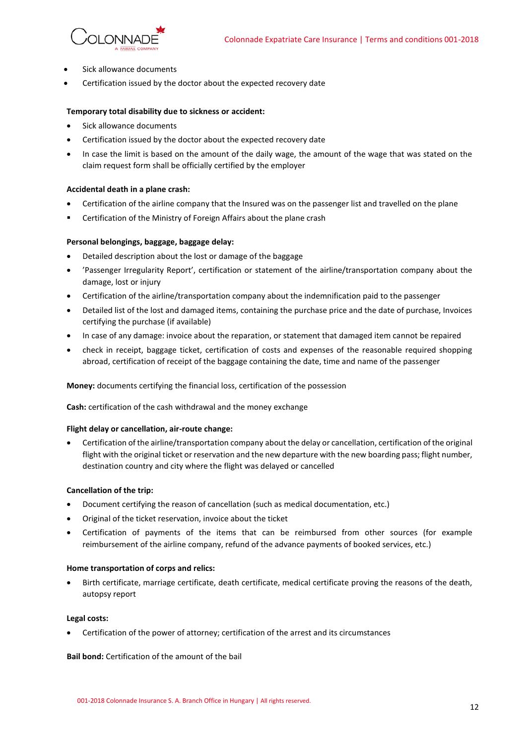

- Sick allowance documents
- Certification issued by the doctor about the expected recovery date

### **Temporary total disability due to sickness or accident:**

- Sick allowance documents
- Certification issued by the doctor about the expected recovery date
- In case the limit is based on the amount of the daily wage, the amount of the wage that was stated on the claim request form shall be officially certified by the employer

### **Accidental death in a plane crash:**

- Certification of the airline company that the Insured was on the passenger list and travelled on the plane
- Certification of the Ministry of Foreign Affairs about the plane crash

#### **Personal belongings, baggage, baggage delay:**

- Detailed description about the lost or damage of the baggage
- 'Passenger Irregularity Report', certification or statement of the airline/transportation company about the damage, lost or injury
- Certification of the airline/transportation company about the indemnification paid to the passenger
- Detailed list of the lost and damaged items, containing the purchase price and the date of purchase, Invoices certifying the purchase (if available)
- In case of any damage: invoice about the reparation, or statement that damaged item cannot be repaired
- check in receipt, baggage ticket, certification of costs and expenses of the reasonable required shopping abroad, certification of receipt of the baggage containing the date, time and name of the passenger

#### **Money:** documents certifying the financial loss, certification of the possession

**Cash:** certification of the cash withdrawal and the money exchange

### **Flight delay or cancellation, air-route change:**

• Certification of the airline/transportation company about the delay or cancellation, certification of the original flight with the original ticket or reservation and the new departure with the new boarding pass; flight number, destination country and city where the flight was delayed or cancelled

#### **Cancellation of the trip:**

- Document certifying the reason of cancellation (such as medical documentation, etc.)
- Original of the ticket reservation, invoice about the ticket
- Certification of payments of the items that can be reimbursed from other sources (for example reimbursement of the airline company, refund of the advance payments of booked services, etc.)

#### **Home transportation of corps and relics:**

• Birth certificate, marriage certificate, death certificate, medical certificate proving the reasons of the death, autopsy report

#### **Legal costs:**

• Certification of the power of attorney; certification of the arrest and its circumstances

#### **Bail bond:** Certification of the amount of the bail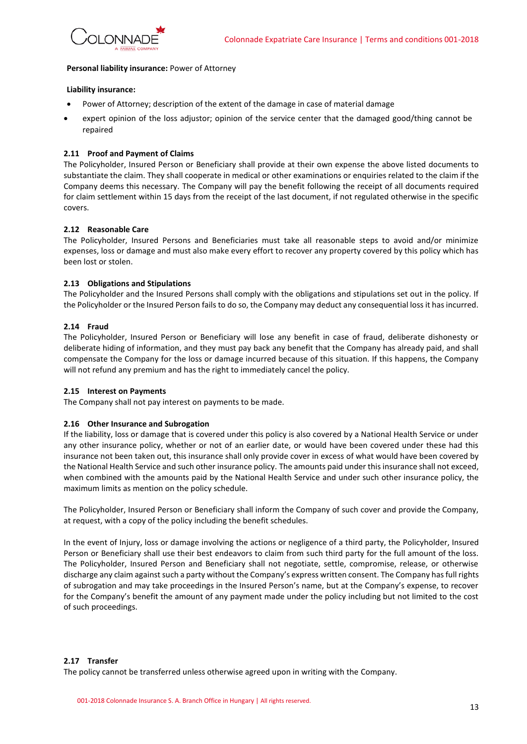

#### **Personal liability insurance:** Power of Attorney

#### **Liability insurance:**

- Power of Attorney; description of the extent of the damage in case of material damage
- expert opinion of the loss adjustor; opinion of the service center that the damaged good/thing cannot be repaired

### **2.11 Proof and Payment of Claims**

The Policyholder, Insured Person or Beneficiary shall provide at their own expense the above listed documents to substantiate the claim. They shall cooperate in medical or other examinations or enquiries related to the claim if the Company deems this necessary. The Company will pay the benefit following the receipt of all documents required for claim settlement within 15 days from the receipt of the last document, if not regulated otherwise in the specific covers.

### **2.12 Reasonable Care**

The Policyholder, Insured Persons and Beneficiaries must take all reasonable steps to avoid and/or minimize expenses, loss or damage and must also make every effort to recover any property covered by this policy which has been lost or stolen.

### **2.13 Obligations and Stipulations**

The Policyholder and the Insured Persons shall comply with the obligations and stipulations set out in the policy. If the Policyholder or the Insured Person fails to do so, the Company may deduct any consequential loss it has incurred.

### **2.14 Fraud**

The Policyholder, Insured Person or Beneficiary will lose any benefit in case of fraud, deliberate dishonesty or deliberate hiding of information, and they must pay back any benefit that the Company has already paid, and shall compensate the Company for the loss or damage incurred because of this situation. If this happens, the Company will not refund any premium and has the right to immediately cancel the policy.

#### **2.15 Interest on Payments**

The Company shall not pay interest on payments to be made.

### **2.16 Other Insurance and Subrogation**

If the liability, loss or damage that is covered under this policy is also covered by a National Health Service or under any other insurance policy, whether or not of an earlier date, or would have been covered under these had this insurance not been taken out, this insurance shall only provide cover in excess of what would have been covered by the National Health Service and such other insurance policy. The amounts paid under this insurance shall not exceed, when combined with the amounts paid by the National Health Service and under such other insurance policy, the maximum limits as mention on the policy schedule.

The Policyholder, Insured Person or Beneficiary shall inform the Company of such cover and provide the Company, at request, with a copy of the policy including the benefit schedules.

In the event of Injury, loss or damage involving the actions or negligence of a third party, the Policyholder, Insured Person or Beneficiary shall use their best endeavors to claim from such third party for the full amount of the loss. The Policyholder, Insured Person and Beneficiary shall not negotiate, settle, compromise, release, or otherwise discharge any claim against such a party without the Company's express written consent. The Company has full rights of subrogation and may take proceedings in the Insured Person's name, but at the Company's expense, to recover for the Company's benefit the amount of any payment made under the policy including but not limited to the cost of such proceedings.

#### **2.17 Transfer**

The policy cannot be transferred unless otherwise agreed upon in writing with the Company.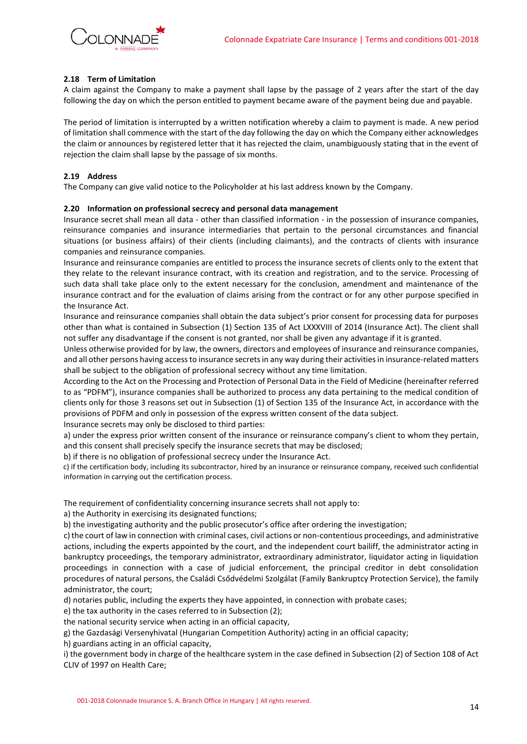

### **2.18 Term of Limitation**

A claim against the Company to make a payment shall lapse by the passage of 2 years after the start of the day following the day on which the person entitled to payment became aware of the payment being due and payable.

The period of limitation is interrupted by a written notification whereby a claim to payment is made. A new period of limitation shall commence with the start of the day following the day on which the Company either acknowledges the claim or announces by registered letter that it has rejected the claim, unambiguously stating that in the event of rejection the claim shall lapse by the passage of six months.

### **2.19 Address**

The Company can give valid notice to the Policyholder at his last address known by the Company.

### **2.20 Information on professional secrecy and personal data management**

Insurance secret shall mean all data - other than classified information - in the possession of insurance companies, reinsurance companies and insurance intermediaries that pertain to the personal circumstances and financial situations (or business affairs) of their clients (including claimants), and the contracts of clients with insurance companies and reinsurance companies.

Insurance and reinsurance companies are entitled to process the insurance secrets of clients only to the extent that they relate to the relevant insurance contract, with its creation and registration, and to the service. Processing of such data shall take place only to the extent necessary for the conclusion, amendment and maintenance of the insurance contract and for the evaluation of claims arising from the contract or for any other purpose specified in the Insurance Act.

Insurance and reinsurance companies shall obtain the data subject's prior consent for processing data for purposes other than what is contained in Subsection (1) Section 135 of Act LXXXVIII of 2014 (Insurance Act). The client shall not suffer any disadvantage if the consent is not granted, nor shall be given any advantage if it is granted.

Unless otherwise provided for by law, the owners, directors and employees of insurance and reinsurance companies, and all other persons having access to insurance secrets in any way during their activities in insurance-related matters shall be subject to the obligation of professional secrecy without any time limitation.

According to the Act on the Processing and Protection of Personal Data in the Field of Medicine (hereinafter referred to as "PDFM"), insurance companies shall be authorized to process any data pertaining to the medical condition of clients only for those 3 reasons set out in Subsection (1) of Section 135 of the Insurance Act, in accordance with the provisions of PDFM and only in possession of the express written consent of the data subject.

Insurance secrets may only be disclosed to third parties:

a) under the express prior written consent of the insurance or reinsurance company's client to whom they pertain, and this consent shall precisely specify the insurance secrets that may be disclosed;

b) if there is no obligation of professional secrecy under the Insurance Act.

c) if the certification body, including its subcontractor, hired by an insurance or reinsurance company, received such confidential information in carrying out the certification process.

The requirement of confidentiality concerning insurance secrets shall not apply to:

a) the Authority in exercising its designated functions;

b) the investigating authority and the public prosecutor's office after ordering the investigation;

c) the court of law in connection with criminal cases, civil actions or non-contentious proceedings, and administrative actions, including the experts appointed by the court, and the independent court bailiff, the administrator acting in bankruptcy proceedings, the temporary administrator, extraordinary administrator, liquidator acting in liquidation proceedings in connection with a case of judicial enforcement, the principal creditor in debt consolidation procedures of natural persons, the Családi Csődvédelmi Szolgálat (Family Bankruptcy Protection Service), the family administrator, the court;

d) notaries public, including the experts they have appointed, in connection with probate cases;

e) the tax authority in the cases referred to in Subsection (2);

the national security service when acting in an official capacity,

g) the Gazdasági Versenyhivatal (Hungarian Competition Authority) acting in an official capacity;

h) guardians acting in an official capacity,

i) the government body in charge of the healthcare system in the case defined in Subsection (2) of Section 108 of Act CLIV of 1997 on Health Care;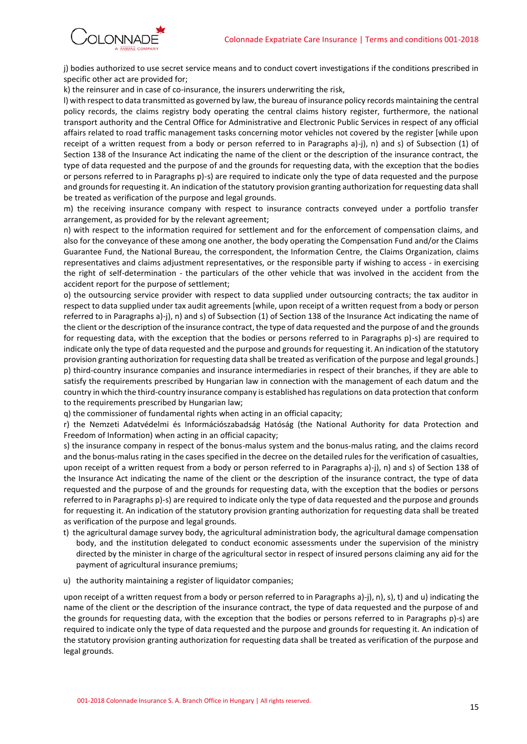

j) bodies authorized to use secret service means and to conduct covert investigations if the conditions prescribed in specific other act are provided for;

k) the reinsurer and in case of co-insurance, the insurers underwriting the risk,

l) with respect to data transmitted as governed by law, the bureau of insurance policy records maintaining the central policy records, the claims registry body operating the central claims history register, furthermore, the national transport authority and the Central Office for Administrative and Electronic Public Services in respect of any official affairs related to road traffic management tasks concerning motor vehicles not covered by the register [while upon receipt of a written request from a body or person referred to in Paragraphs a)-j), n) and s) of Subsection (1) of Section 138 of the Insurance Act indicating the name of the client or the description of the insurance contract, the type of data requested and the purpose of and the grounds for requesting data, with the exception that the bodies or persons referred to in Paragraphs p)-s) are required to indicate only the type of data requested and the purpose and grounds for requesting it. An indication of the statutory provision granting authorization for requesting data shall be treated as verification of the purpose and legal grounds.

m) the receiving insurance company with respect to insurance contracts conveyed under a portfolio transfer arrangement, as provided for by the relevant agreement;

n) with respect to the information required for settlement and for the enforcement of compensation claims, and also for the conveyance of these among one another, the body operating the Compensation Fund and/or the Claims Guarantee Fund, the National Bureau, the correspondent, the Information Centre, the Claims Organization, claims representatives and claims adjustment representatives, or the responsible party if wishing to access - in exercising the right of self-determination - the particulars of the other vehicle that was involved in the accident from the accident report for the purpose of settlement;

o) the outsourcing service provider with respect to data supplied under outsourcing contracts; the tax auditor in respect to data supplied under tax audit agreements [while, upon receipt of a written request from a body or person referred to in Paragraphs a)-j), n) and s) of Subsection (1) of Section 138 of the Insurance Act indicating the name of the client or the description of the insurance contract, the type of data requested and the purpose of and the grounds for requesting data, with the exception that the bodies or persons referred to in Paragraphs p)-s) are required to indicate only the type of data requested and the purpose and grounds for requesting it. An indication of the statutory provision granting authorization for requesting data shall be treated as verification of the purpose and legal grounds.] p) third-country insurance companies and insurance intermediaries in respect of their branches, if they are able to satisfy the requirements prescribed by Hungarian law in connection with the management of each datum and the country in which the third-country insurance company is established has regulations on data protection that conform to the requirements prescribed by Hungarian law;

q) the commissioner of fundamental rights when acting in an official capacity;

r) the Nemzeti Adatvédelmi és Információszabadság Hatóság (the National Authority for data Protection and Freedom of Information) when acting in an official capacity;

s) the insurance company in respect of the bonus-malus system and the bonus-malus rating, and the claims record and the bonus-malus rating in the cases specified in the decree on the detailed rules for the verification of casualties, upon receipt of a written request from a body or person referred to in Paragraphs a)-j), n) and s) of Section 138 of the Insurance Act indicating the name of the client or the description of the insurance contract, the type of data requested and the purpose of and the grounds for requesting data, with the exception that the bodies or persons referred to in Paragraphs p)-s) are required to indicate only the type of data requested and the purpose and grounds for requesting it. An indication of the statutory provision granting authorization for requesting data shall be treated as verification of the purpose and legal grounds.

- t) the agricultural damage survey body, the agricultural administration body, the agricultural damage compensation body, and the institution delegated to conduct economic assessments under the supervision of the ministry directed by the minister in charge of the agricultural sector in respect of insured persons claiming any aid for the payment of agricultural insurance premiums;
- u) the authority maintaining a register of liquidator companies;

upon receipt of a written request from a body or person referred to in Paragraphs a)-j), n), s), t) and u) indicating the name of the client or the description of the insurance contract, the type of data requested and the purpose of and the grounds for requesting data, with the exception that the bodies or persons referred to in Paragraphs p)-s) are required to indicate only the type of data requested and the purpose and grounds for requesting it. An indication of the statutory provision granting authorization for requesting data shall be treated as verification of the purpose and legal grounds.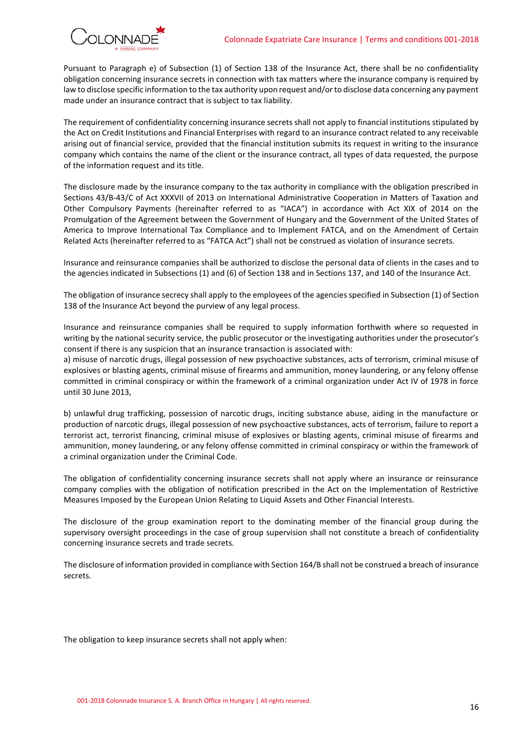

Pursuant to Paragraph e) of Subsection (1) of Section 138 of the Insurance Act, there shall be no confidentiality obligation concerning insurance secrets in connection with tax matters where the insurance company is required by law to disclose specific information to the tax authority upon request and/or to disclose data concerning any payment made under an insurance contract that is subject to tax liability.

The requirement of confidentiality concerning insurance secrets shall not apply to financial institutions stipulated by the Act on Credit Institutions and Financial Enterprises with regard to an insurance contract related to any receivable arising out of financial service, provided that the financial institution submits its request in writing to the insurance company which contains the name of the client or the insurance contract, all types of data requested, the purpose of the information request and its title.

The disclosure made by the insurance company to the tax authority in compliance with the obligation prescribed in Sections 43/B-43/C of Act XXXVII of 2013 on International Administrative Cooperation in Matters of Taxation and Other Compulsory Payments (hereinafter referred to as "IACA") in accordance with Act XIX of 2014 on the Promulgation of the Agreement between the Government of Hungary and the Government of the United States of America to Improve International Tax Compliance and to Implement FATCA, and on the Amendment of Certain Related Acts (hereinafter referred to as "FATCA Act") shall not be construed as violation of insurance secrets.

Insurance and reinsurance companies shall be authorized to disclose the personal data of clients in the cases and to the agencies indicated in Subsections (1) and (6) of Section 138 and in Sections 137, and 140 of the Insurance Act.

The obligation of insurance secrecy shall apply to the employees of the agencies specified in Subsection (1) of Section 138 of the Insurance Act beyond the purview of any legal process.

Insurance and reinsurance companies shall be required to supply information forthwith where so requested in writing by the national security service, the public prosecutor or the investigating authorities under the prosecutor's consent if there is any suspicion that an insurance transaction is associated with:

a) misuse of narcotic drugs, illegal possession of new psychoactive substances, acts of terrorism, criminal misuse of explosives or blasting agents, criminal misuse of firearms and ammunition, money laundering, or any felony offense committed in criminal conspiracy or within the framework of a criminal organization under Act IV of 1978 in force until 30 June 2013,

b) unlawful drug trafficking, possession of narcotic drugs, inciting substance abuse, aiding in the manufacture or production of narcotic drugs, illegal possession of new psychoactive substances, acts of terrorism, failure to report a terrorist act, terrorist financing, criminal misuse of explosives or blasting agents, criminal misuse of firearms and ammunition, money laundering, or any felony offense committed in criminal conspiracy or within the framework of a criminal organization under the Criminal Code.

The obligation of confidentiality concerning insurance secrets shall not apply where an insurance or reinsurance company complies with the obligation of notification prescribed in the Act on the Implementation of Restrictive Measures Imposed by the European Union Relating to Liquid Assets and Other Financial Interests.

The disclosure of the group examination report to the dominating member of the financial group during the supervisory oversight proceedings in the case of group supervision shall not constitute a breach of confidentiality concerning insurance secrets and trade secrets.

The disclosure of information provided in compliance with Section 164/B shall not be construed a breach of insurance secrets.

The obligation to keep insurance secrets shall not apply when: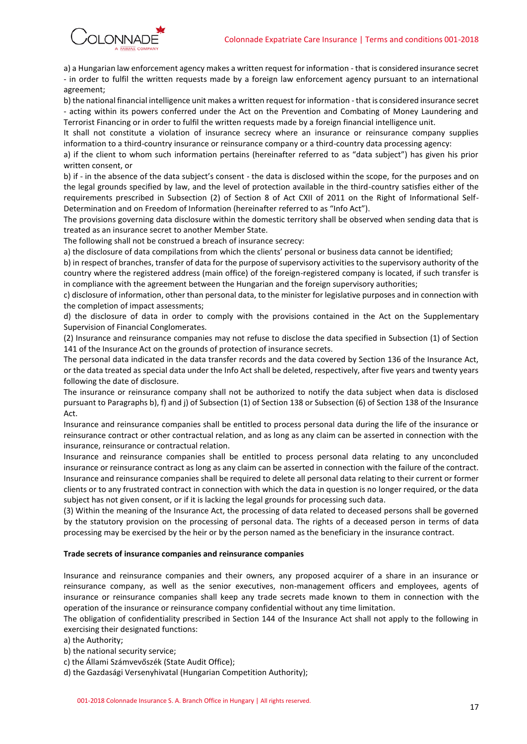

a) a Hungarian law enforcement agency makes a written request for information - that is considered insurance secret - in order to fulfil the written requests made by a foreign law enforcement agency pursuant to an international agreement;

b) the national financial intelligence unit makes a written request for information - that is considered insurance secret - acting within its powers conferred under the Act on the Prevention and Combating of Money Laundering and Terrorist Financing or in order to fulfil the written requests made by a foreign financial intelligence unit.

It shall not constitute a violation of insurance secrecy where an insurance or reinsurance company supplies information to a third-country insurance or reinsurance company or a third-country data processing agency:

a) if the client to whom such information pertains (hereinafter referred to as "data subject") has given his prior written consent, or

b) if - in the absence of the data subject's consent - the data is disclosed within the scope, for the purposes and on the legal grounds specified by law, and the level of protection available in the third-country satisfies either of the requirements prescribed in Subsection (2) of Section 8 of Act CXII of 2011 on the Right of Informational Self-Determination and on Freedom of Information (hereinafter referred to as "Info Act").

The provisions governing data disclosure within the domestic territory shall be observed when sending data that is treated as an insurance secret to another Member State.

The following shall not be construed a breach of insurance secrecy:

a) the disclosure of data compilations from which the clients' personal or business data cannot be identified;

b) in respect of branches, transfer of data for the purpose of supervisory activities to the supervisory authority of the country where the registered address (main office) of the foreign-registered company is located, if such transfer is in compliance with the agreement between the Hungarian and the foreign supervisory authorities;

c) disclosure of information, other than personal data, to the minister for legislative purposes and in connection with the completion of impact assessments;

d) the disclosure of data in order to comply with the provisions contained in the Act on the Supplementary Supervision of Financial Conglomerates.

(2) Insurance and reinsurance companies may not refuse to disclose the data specified in Subsection (1) of Section 141 of the Insurance Act on the grounds of protection of insurance secrets.

The personal data indicated in the data transfer records and the data covered by Section 136 of the Insurance Act, or the data treated as special data under the Info Act shall be deleted, respectively, after five years and twenty years following the date of disclosure.

The insurance or reinsurance company shall not be authorized to notify the data subject when data is disclosed pursuant to Paragraphs b), f) and j) of Subsection (1) of Section 138 or Subsection (6) of Section 138 of the Insurance Act.

Insurance and reinsurance companies shall be entitled to process personal data during the life of the insurance or reinsurance contract or other contractual relation, and as long as any claim can be asserted in connection with the insurance, reinsurance or contractual relation.

Insurance and reinsurance companies shall be entitled to process personal data relating to any unconcluded insurance or reinsurance contract as long as any claim can be asserted in connection with the failure of the contract. Insurance and reinsurance companies shall be required to delete all personal data relating to their current or former clients or to any frustrated contract in connection with which the data in question is no longer required, or the data subject has not given consent, or if it is lacking the legal grounds for processing such data.

(3) Within the meaning of the Insurance Act, the processing of data related to deceased persons shall be governed by the statutory provision on the processing of personal data. The rights of a deceased person in terms of data processing may be exercised by the heir or by the person named as the beneficiary in the insurance contract.

### **Trade secrets of insurance companies and reinsurance companies**

Insurance and reinsurance companies and their owners, any proposed acquirer of a share in an insurance or reinsurance company, as well as the senior executives, non-management officers and employees, agents of insurance or reinsurance companies shall keep any trade secrets made known to them in connection with the operation of the insurance or reinsurance company confidential without any time limitation.

The obligation of confidentiality prescribed in Section 144 of the Insurance Act shall not apply to the following in exercising their designated functions:

a) the Authority;

- b) the national security service;
- c) the Állami Számvevőszék (State Audit Office);

d) the Gazdasági Versenyhivatal (Hungarian Competition Authority);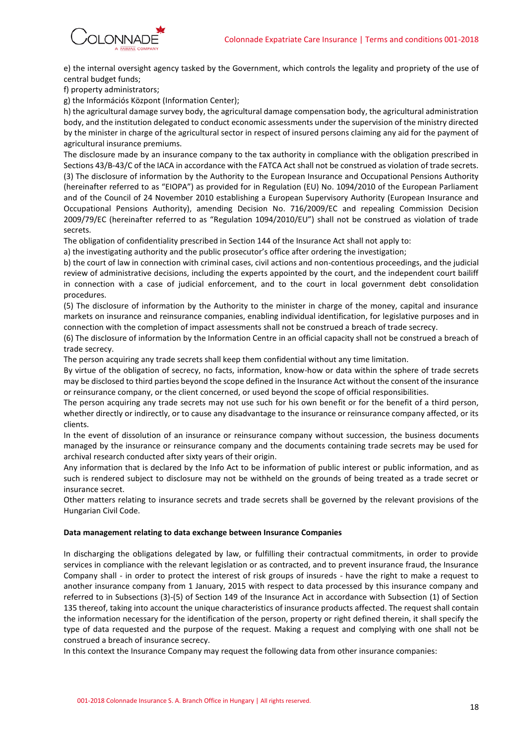

e) the internal oversight agency tasked by the Government, which controls the legality and propriety of the use of central budget funds;

f) property administrators;

g) the Információs Központ (Information Center);

h) the agricultural damage survey body, the agricultural damage compensation body, the agricultural administration body, and the institution delegated to conduct economic assessments under the supervision of the ministry directed by the minister in charge of the agricultural sector in respect of insured persons claiming any aid for the payment of agricultural insurance premiums.

The disclosure made by an insurance company to the tax authority in compliance with the obligation prescribed in Sections 43/B-43/C of the IACA in accordance with the FATCA Act shall not be construed as violation of trade secrets. (3) The disclosure of information by the Authority to the European Insurance and Occupational Pensions Authority (hereinafter referred to as "EIOPA") as provided for in Regulation (EU) No. 1094/2010 of the European Parliament and of the Council of 24 November 2010 establishing a European Supervisory Authority (European Insurance and Occupational Pensions Authority), amending Decision No. 716/2009/EC and repealing Commission Decision 2009/79/EC (hereinafter referred to as "Regulation 1094/2010/EU") shall not be construed as violation of trade secrets.

The obligation of confidentiality prescribed in Section 144 of the Insurance Act shall not apply to:

a) the investigating authority and the public prosecutor's office after ordering the investigation;

b) the court of law in connection with criminal cases, civil actions and non-contentious proceedings, and the judicial review of administrative decisions, including the experts appointed by the court, and the independent court bailiff in connection with a case of judicial enforcement, and to the court in local government debt consolidation procedures.

(5) The disclosure of information by the Authority to the minister in charge of the money, capital and insurance markets on insurance and reinsurance companies, enabling individual identification, for legislative purposes and in connection with the completion of impact assessments shall not be construed a breach of trade secrecy.

(6) The disclosure of information by the Information Centre in an official capacity shall not be construed a breach of trade secrecy.

The person acquiring any trade secrets shall keep them confidential without any time limitation.

By virtue of the obligation of secrecy, no facts, information, know-how or data within the sphere of trade secrets may be disclosed to third parties beyond the scope defined in the Insurance Act without the consent of the insurance or reinsurance company, or the client concerned, or used beyond the scope of official responsibilities.

The person acquiring any trade secrets may not use such for his own benefit or for the benefit of a third person, whether directly or indirectly, or to cause any disadvantage to the insurance or reinsurance company affected, or its clients.

In the event of dissolution of an insurance or reinsurance company without succession, the business documents managed by the insurance or reinsurance company and the documents containing trade secrets may be used for archival research conducted after sixty years of their origin.

Any information that is declared by the Info Act to be information of public interest or public information, and as such is rendered subject to disclosure may not be withheld on the grounds of being treated as a trade secret or insurance secret.

Other matters relating to insurance secrets and trade secrets shall be governed by the relevant provisions of the Hungarian Civil Code.

#### **Data management relating to data exchange between Insurance Companies**

In discharging the obligations delegated by law, or fulfilling their contractual commitments, in order to provide services in compliance with the relevant legislation or as contracted, and to prevent insurance fraud, the Insurance Company shall - in order to protect the interest of risk groups of insureds - have the right to make a request to another insurance company from 1 January, 2015 with respect to data processed by this insurance company and referred to in Subsections (3)-(5) of Section 149 of the Insurance Act in accordance with Subsection (1) of Section 135 thereof, taking into account the unique characteristics of insurance products affected. The request shall contain the information necessary for the identification of the person, property or right defined therein, it shall specify the type of data requested and the purpose of the request. Making a request and complying with one shall not be construed a breach of insurance secrecy.

In this context the Insurance Company may request the following data from other insurance companies: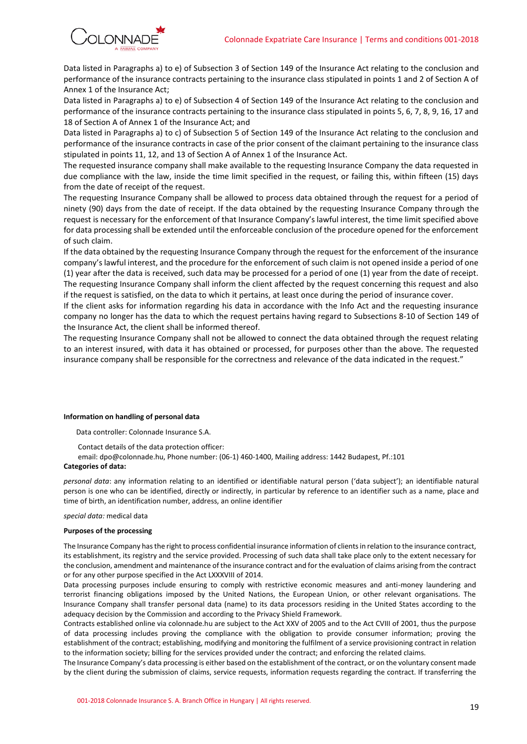

Data listed in Paragraphs a) to e) of Subsection 3 of Section 149 of the Insurance Act relating to the conclusion and performance of the insurance contracts pertaining to the insurance class stipulated in points 1 and 2 of Section A of Annex 1 of the Insurance Act;

Data listed in Paragraphs a) to e) of Subsection 4 of Section 149 of the Insurance Act relating to the conclusion and performance of the insurance contracts pertaining to the insurance class stipulated in points 5, 6, 7, 8, 9, 16, 17 and 18 of Section A of Annex 1 of the Insurance Act; and

Data listed in Paragraphs a) to c) of Subsection 5 of Section 149 of the Insurance Act relating to the conclusion and performance of the insurance contracts in case of the prior consent of the claimant pertaining to the insurance class stipulated in points 11, 12, and 13 of Section A of Annex 1 of the Insurance Act.

The requested insurance company shall make available to the requesting Insurance Company the data requested in due compliance with the law, inside the time limit specified in the request, or failing this, within fifteen (15) days from the date of receipt of the request.

The requesting Insurance Company shall be allowed to process data obtained through the request for a period of ninety (90) days from the date of receipt. If the data obtained by the requesting Insurance Company through the request is necessary for the enforcement of that Insurance Company's lawful interest, the time limit specified above for data processing shall be extended until the enforceable conclusion of the procedure opened for the enforcement of such claim.

If the data obtained by the requesting Insurance Company through the request for the enforcement of the insurance company's lawful interest, and the procedure for the enforcement of such claim is not opened inside a period of one (1) year after the data is received, such data may be processed for a period of one (1) year from the date of receipt. The requesting Insurance Company shall inform the client affected by the request concerning this request and also if the request is satisfied, on the data to which it pertains, at least once during the period of insurance cover.

If the client asks for information regarding his data in accordance with the Info Act and the requesting insurance company no longer has the data to which the request pertains having regard to Subsections 8-10 of Section 149 of the Insurance Act, the client shall be informed thereof.

The requesting Insurance Company shall not be allowed to connect the data obtained through the request relating to an interest insured, with data it has obtained or processed, for purposes other than the above. The requested insurance company shall be responsible for the correctness and relevance of the data indicated in the request."

#### **Information on handling of personal data**

Data controller: Colonnade Insurance S.A.

Contact details of the data protection officer:

email: dpo@colonnade.hu, Phone number: (06-1) 460-1400, Mailing address: 1442 Budapest, Pf.:101

#### **Categories of data:**

*personal data*: any information relating to an identified or identifiable natural person ('data subject'); an identifiable natural person is one who can be identified, directly or indirectly, in particular by reference to an identifier such as a name, place and time of birth, an identification number, address, an online identifier

#### *special data:* medical data

#### **Purposes of the processing**

The Insurance Company has the right to process confidential insurance information of clients in relation to the insurance contract, its establishment, its registry and the service provided. Processing of such data shall take place only to the extent necessary for the conclusion, amendment and maintenance of the insurance contract and for the evaluation of claims arising from the contract or for any other purpose specified in the Act LXXXVIII of 2014.

Data processing purposes include ensuring to comply with restrictive economic measures and anti-money laundering and terrorist financing obligations imposed by the United Nations, the European Union, or other relevant organisations. The Insurance Company shall transfer personal data (name) to its data processors residing in the United States according to the adequacy decision by the Commission and according to the Privacy Shield Framework.

Contracts established online via colonnade.hu are subject to the Act XXV of 2005 and to the Act CVIII of 2001, thus the purpose of data processing includes proving the compliance with the obligation to provide consumer information; proving the establishment of the contract; establishing, modifying and monitoring the fulfilment of a service provisioning contract in relation to the information society; billing for the services provided under the contract; and enforcing the related claims.

The Insurance Company's data processing is either based on the establishment of the contract, or on the voluntary consent made by the client during the submission of claims, service requests, information requests regarding the contract. If transferring the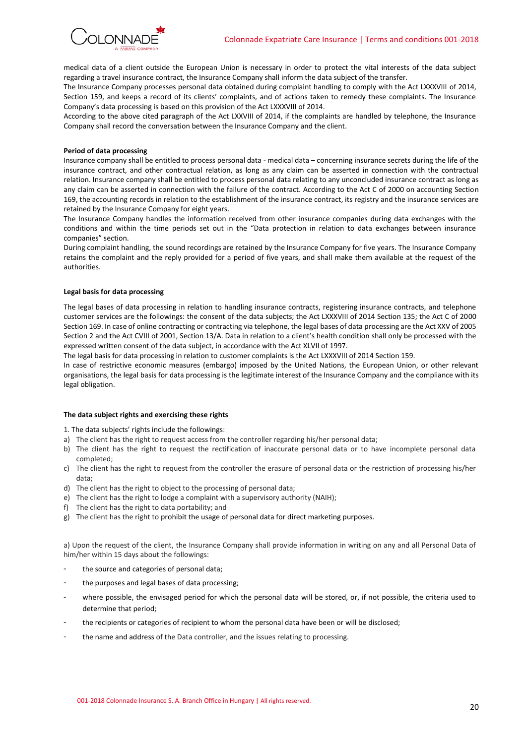

medical data of a client outside the European Union is necessary in order to protect the vital interests of the data subject regarding a travel insurance contract, the Insurance Company shall inform the data subject of the transfer.

The Insurance Company processes personal data obtained during complaint handling to comply with the Act LXXXVIII of 2014, Section 159, and keeps a record of its clients' complaints, and of actions taken to remedy these complaints. The Insurance Company's data processing is based on this provision of the Act LXXXVIII of 2014.

According to the above cited paragraph of the Act LXXVIII of 2014, if the complaints are handled by telephone, the Insurance Company shall record the conversation between the Insurance Company and the client.

#### **Period of data processing**

Insurance company shall be entitled to process personal data - medical data – concerning insurance secrets during the life of the insurance contract, and other contractual relation, as long as any claim can be asserted in connection with the contractual relation. Insurance company shall be entitled to process personal data relating to any unconcluded insurance contract as long as any claim can be asserted in connection with the failure of the contract. According to the Act C of 2000 on accounting Section 169, the accounting records in relation to the establishment of the insurance contract, its registry and the insurance services are retained by the Insurance Company for eight years.

The Insurance Company handles the information received from other insurance companies during data exchanges with the conditions and within the time periods set out in the "Data protection in relation to data exchanges between insurance companies" section.

During complaint handling, the sound recordings are retained by the Insurance Company for five years. The Insurance Company retains the complaint and the reply provided for a period of five years, and shall make them available at the request of the authorities.

#### **Legal basis for data processing**

The legal bases of data processing in relation to handling insurance contracts, registering insurance contracts, and telephone customer services are the followings: the consent of the data subjects; the Act LXXXVIII of 2014 Section 135; the Act C of 2000 Section 169. In case of online contracting or contracting via telephone, the legal bases of data processing are the Act XXV of 2005 Section 2 and the Act CVIII of 2001, Section 13/A. Data in relation to a client's health condition shall only be processed with the expressed written consent of the data subject, in accordance with the Act XLVII of 1997.

The legal basis for data processing in relation to customer complaints is the Act LXXXVIII of 2014 Section 159.

In case of restrictive economic measures (embargo) imposed by the United Nations, the European Union, or other relevant organisations, the legal basis for data processing is the legitimate interest of the Insurance Company and the compliance with its legal obligation.

### **The data subject rights and exercising these rights**

1. The data subjects' rights include the followings:

- a) The client has the right to request access from the controller regarding his/her personal data;
- b) The client has the right to request the rectification of inaccurate personal data or to have incomplete personal data completed;
- c) The client has the right to request from the controller the erasure of personal data or the restriction of processing his/her data;
- d) The client has the right to object to the processing of personal data;
- e) The client has the right to lodge a complaint with a supervisory authority (NAIH);
- f) The client has the right to data portability; and
- g) The client has the right to prohibit the usage of personal data for direct marketing purposes.

a) Upon the request of the client, the Insurance Company shall provide information in writing on any and all Personal Data of him/her within 15 days about the followings:

- the source and categories of personal data;
- the purposes and legal bases of data processing;
- where possible, the envisaged period for which the personal data will be stored, or, if not possible, the criteria used to determine that period;
- the recipients or categories of recipient to whom the personal data have been or will be disclosed;
- the name and address of the Data controller, and the issues relating to processing.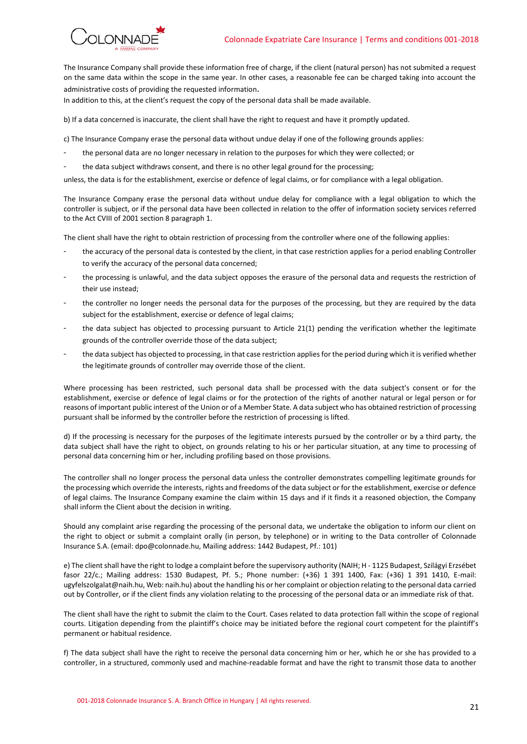

The Insurance Company shall provide these information free of charge, if the client (natural person) has not submited a request on the same data within the scope in the same year. In other cases, a reasonable fee can be charged taking into account the administrative costs of providing the requested information.

In addition to this, at the client's request the copy of the personal data shall be made available.

b) If a data concerned is inaccurate, the client shall have the right to request and have it promptly updated.

c) The Insurance Company erase the personal data without undue delay if one of the following grounds applies:

- the personal data are no longer necessary in relation to the purposes for which they were collected; or
- the data subject withdraws consent, and there is no other legal ground for the processing;

unless, the data is for the establishment, exercise or defence of legal claims, or for compliance with a legal obligation.

The Insurance Company erase the personal data without undue delay for compliance with a legal obligation to which the controller is subject, or if the personal data have been collected in relation to the offer of information society services referred to the Act CVIII of 2001 section 8 paragraph 1.

The client shall have the right to obtain restriction of processing from the controller where one of the following applies:

- the accuracy of the personal data is contested by the client, in that case restriction applies for a period enabling Controller to verify the accuracy of the personal data concerned;
- the processing is unlawful, and the data subject opposes the erasure of the personal data and requests the restriction of their use instead;
- the controller no longer needs the personal data for the purposes of the processing, but they are required by the data subject for the establishment, exercise or defence of legal claims;
- the data subject has objected to processing pursuant to Article 21(1) pending the verification whether the legitimate grounds of the controller override those of the data subject;
- the data subject has objected to processing, in that case restriction applies for the period during which it is verified whether the legitimate grounds of controller may override those of the client.

Where processing has been restricted, such personal data shall be processed with the data subject's consent or for the establishment, exercise or defence of legal claims or for the protection of the rights of another natural or legal person or for reasons of important public interest of the Union or of a Member State. A data subject who has obtained restriction of processing pursuant shall be informed by the controller before the restriction of processing is lifted.

d) If the processing is necessary for the purposes of the legitimate interests pursued by the controller or by a third party, the data subject shall have the right to object, on grounds relating to his or her particular situation, at any time to processing of personal data concerning him or her, including profiling based on those provisions.

The controller shall no longer process the personal data unless the controller demonstrates compelling legitimate grounds for the processing which override the interests, rights and freedoms of the data subject or for the establishment, exercise or defence of legal claims. The Insurance Company examine the claim within 15 days and if it finds it a reasoned objection, the Company shall inform the Client about the decision in writing.

Should any complaint arise regarding the processing of the personal data, we undertake the obligation to inform our client on the right to object or submit a complaint orally (in person, by telephone) or in writing to the Data controller of Colonnade Insurance S.A. (email: dpo@colonnade.hu, Mailing address: 1442 Budapest, Pf.: 101)

e) The client shall have the right to lodge a complaint before the supervisory authority (NAIH; H - 1125 Budapest, Szilágyi Erzsébet fasor 22/c.; Mailing address: 1530 Budapest, Pf. 5.; Phone number: (+36) 1 391 1400, Fax: (+36) 1 391 1410, E-mail: ugyfelszolgalat@naih.hu, Web: naih.hu) about the handling his or her complaint or objection relating to the personal data carried out by Controller, or if the client finds any violation relating to the processing of the personal data or an immediate risk of that.

The client shall have the right to submit the claim to the Court. Cases related to data protection fall within the scope of regional courts. Litigation depending from the plaintiff's choice may be initiated before the regional court competent for the plaintiff's permanent or habitual residence.

f) The data subject shall have the right to receive the personal data concerning him or her, which he or she has provided to a controller, in a structured, commonly used and machine-readable format and have the right to transmit those data to another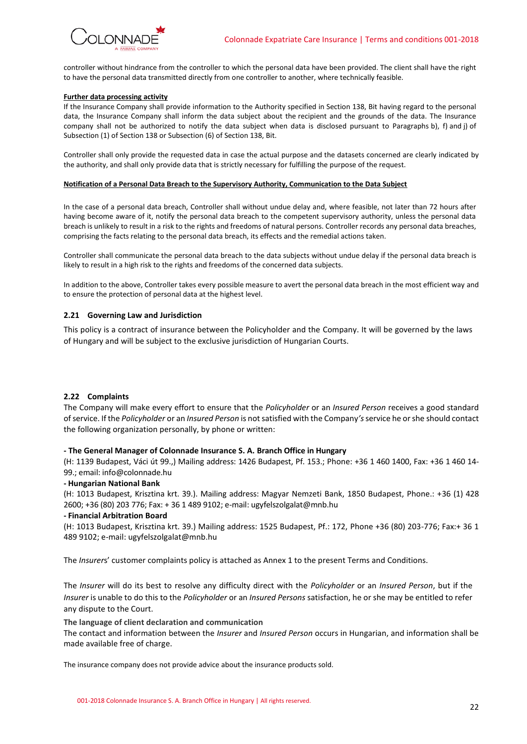controller without hindrance from the controller to which the personal data have been provided. The client shall have the right to have the personal data transmitted directly from one controller to another, where technically feasible.

#### **Further data processing activity**

If the Insurance Company shall provide information to the Authority specified in Section 138, Bit having regard to the personal data, the Insurance Company shall inform the data subject about the recipient and the grounds of the data. The Insurance company shall not be authorized to notify the data subject when data is disclosed pursuant to Paragraphs b), f) and j) of Subsection (1) of Section 138 or Subsection (6) of Section 138, Bit.

Controller shall only provide the requested data in case the actual purpose and the datasets concerned are clearly indicated by the authority, and shall only provide data that is strictly necessary for fulfilling the purpose of the request.

#### **Notification of a Personal Data Breach to the Supervisory Authority, Communication to the Data Subject**

In the case of a personal data breach, Controller shall without undue delay and, where feasible, not later than 72 hours after having become aware of it, notify the personal data breach to the competent supervisory authority, unless the personal data breach is unlikely to result in a risk to the rights and freedoms of natural persons. Controller records any personal data breaches, comprising the facts relating to the personal data breach, its effects and the remedial actions taken.

Controller shall communicate the personal data breach to the data subjects without undue delay if the personal data breach is likely to result in a high risk to the rights and freedoms of the concerned data subjects.

In addition to the above, Controller takes every possible measure to avert the personal data breach in the most efficient way and to ensure the protection of personal data at the highest level.

#### **2.21 Governing Law and Jurisdiction**

This policy is a contract of insurance between the Policyholder and the Company. It will be governed by the laws of Hungary and will be subject to the exclusive jurisdiction of Hungarian Courts.

#### **2.22 Complaints**

The Company will make every effort to ensure that the *Policyholder* or an *Insured Person* receives a good standard of service. If the *Policyholder* or an *Insured Person* is not satisfied with the Company*'s* service he or she should contact the following organization personally, by phone or written:

#### **- The General Manager of Colonnade Insurance S. A. Branch Office in Hungary**

(H: 1139 Budapest, Váci út 99.,) Mailing address: 1426 Budapest, Pf. 153.; Phone: +36 1 460 1400, Fax: +36 1 460 14- 99.; email: info@colonnade.hu

#### **- Hungarian National Bank**

(H: 1013 Budapest, Krisztina krt. 39.). Mailing address: Magyar Nemzeti Bank, 1850 Budapest, Phone.: +36 (1) 428 2600; +36 (80) 203 776; Fax: + 36 1 489 9102; e-mail: ugyfelszolgalat@mnb.hu

#### **- Financial Arbitration Board**

(H: 1013 Budapest, Krisztina krt. 39.) Mailing address: 1525 Budapest, Pf.: 172, Phone +36 (80) 203-776; Fax:+ 36 1 489 9102; e-mail: ugyfelszolgalat@mnb.hu

The *Insurer*s' customer complaints policy is attached as Annex 1 to the present Terms and Conditions.

The *Insurer* will do its best to resolve any difficulty direct with the *Policyholder* or an *Insured Person*, but if the *Insurer* is unable to do this to the *Policyholder* or an *Insured Persons* satisfaction, he or she may be entitled to refer any dispute to the Court.

### **The language of client declaration and communication**

The contact and information between the *Insurer* and *Insured Person* occurs in Hungarian, and information shall be made available free of charge.

The insurance company does not provide advice about the insurance products sold.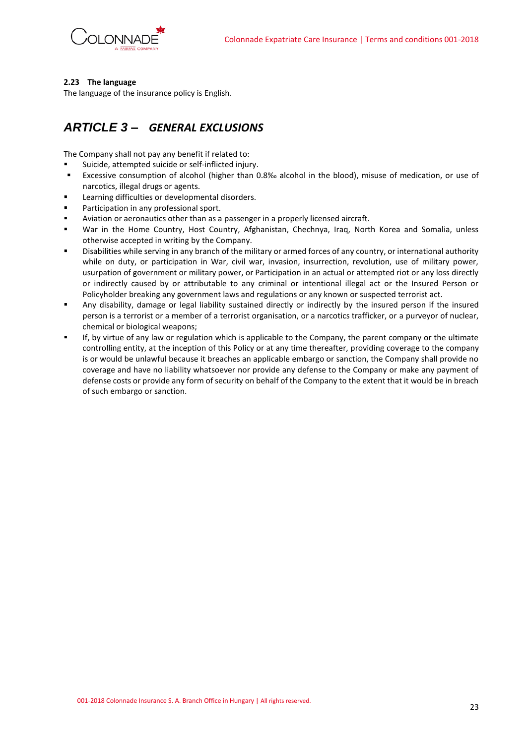

### **2.23 The language**

The language of the insurance policy is English.

## <span id="page-22-0"></span>*ARTICLE 3 – GENERAL EXCLUSIONS*

The Company shall not pay any benefit if related to:

- Suicide, attempted suicide or self-inflicted injury.
- Excessive consumption of alcohol (higher than 0.8‰ alcohol in the blood), misuse of medication, or use of narcotics, illegal drugs or agents.
- Learning difficulties or developmental disorders.
- Participation in any professional sport.
- Aviation or aeronautics other than as a passenger in a properly licensed aircraft.
- War in the Home Country, Host Country, Afghanistan, Chechnya, Iraq, North Korea and Somalia, unless otherwise accepted in writing by the Company.
- Disabilities while serving in any branch of the military or armed forces of any country, or international authority while on duty, or participation in War, civil war, invasion, insurrection, revolution, use of military power, usurpation of government or military power, or Participation in an actual or attempted riot or any loss directly or indirectly caused by or attributable to any criminal or intentional illegal act or the Insured Person or Policyholder breaking any government laws and regulations or any known or suspected terrorist act.
- Any disability, damage or legal liability sustained directly or indirectly by the insured person if the insured person is a terrorist or a member of a terrorist organisation, or a narcotics trafficker, or a purveyor of nuclear, chemical or biological weapons;
- If, by virtue of any law or regulation which is applicable to the Company, the parent company or the ultimate controlling entity, at the inception of this Policy or at any time thereafter, providing coverage to the company is or would be unlawful because it breaches an applicable embargo or sanction, the Company shall provide no coverage and have no liability whatsoever nor provide any defense to the Company or make any payment of defense costs or provide any form of security on behalf of the Company to the extent that it would be in breach of such embargo or sanction.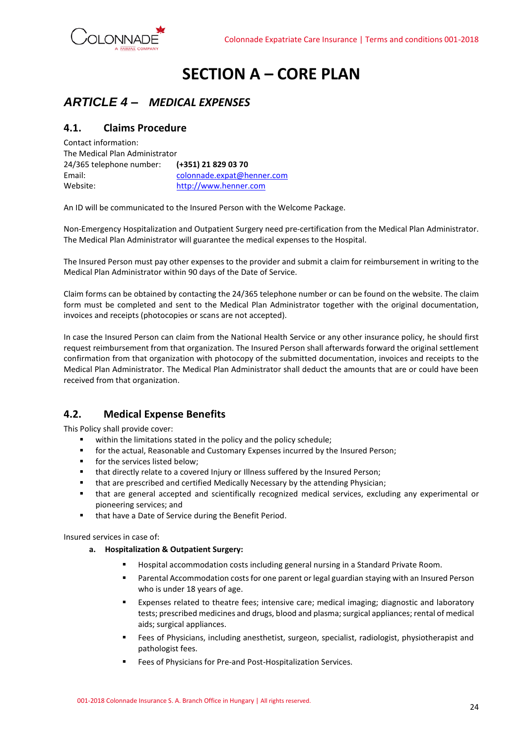

# **SECTION A – CORE PLAN**

## <span id="page-23-1"></span><span id="page-23-0"></span>*ARTICLE 4 – MEDICAL EXPENSES*

### <span id="page-23-2"></span>**4.1. Claims Procedure**

Contact information: The Medical Plan Administrator 24/365 telephone number: **(+351) 21 829 03 70** Email: [colonnade.expat@henner.com](mailto:colonnade.expat@henner.com) Website: [http://www.henner.com](http://www.henner.com/)

An ID will be communicated to the Insured Person with the Welcome Package.

Non-Emergency Hospitalization and Outpatient Surgery need pre-certification from the Medical Plan Administrator. The Medical Plan Administrator will guarantee the medical expenses to the Hospital.

The Insured Person must pay other expenses to the provider and submit a claim for reimbursement in writing to the Medical Plan Administrator within 90 days of the Date of Service.

Claim forms can be obtained by contacting the 24/365 telephone number or can be found on the website. The claim form must be completed and sent to the Medical Plan Administrator together with the original documentation, invoices and receipts (photocopies or scans are not accepted).

In case the Insured Person can claim from the National Health Service or any other insurance policy, he should first request reimbursement from that organization. The Insured Person shall afterwards forward the original settlement confirmation from that organization with photocopy of the submitted documentation, invoices and receipts to the Medical Plan Administrator. The Medical Plan Administrator shall deduct the amounts that are or could have been received from that organization.

### <span id="page-23-3"></span>**4.2. Medical Expense Benefits**

This Policy shall provide cover:

- within the limitations stated in the policy and the policy schedule;
- **•** for the actual, Reasonable and Customary Expenses incurred by the Insured Person;
- for the services listed below:
- that directly relate to a covered Injury or Illness suffered by the Insured Person;
- that are prescribed and certified Medically Necessary by the attending Physician;
- that are general accepted and scientifically recognized medical services, excluding any experimental or pioneering services; and
- that have a Date of Service during the Benefit Period.

Insured services in case of:

### **a. Hospitalization & Outpatient Surgery:**

- Hospital accommodation costs including general nursing in a Standard Private Room.
- Parental Accommodation costs for one parent or legal guardian staying with an Insured Person who is under 18 years of age.
- Expenses related to theatre fees; intensive care; medical imaging; diagnostic and laboratory tests; prescribed medicines and drugs, blood and plasma; surgical appliances; rental of medical aids; surgical appliances.
- **EREP.** Fees of Physicians, including anesthetist, surgeon, specialist, radiologist, physiotherapist and pathologist fees.
- Fees of Physicians for Pre-and Post-Hospitalization Services.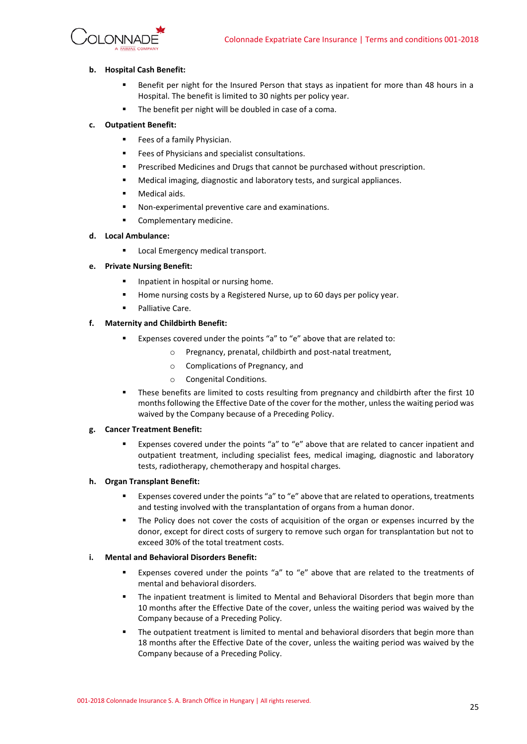

### **b. Hospital Cash Benefit:**

- Benefit per night for the Insured Person that stays as inpatient for more than 48 hours in a Hospital. The benefit is limited to 30 nights per policy year.
- The benefit per night will be doubled in case of a coma.

### **c. Outpatient Benefit:**

- Fees of a family Physician.
- Fees of Physicians and specialist consultations.
- **■** Prescribed Medicines and Drugs that cannot be purchased without prescription.
- Medical imaging, diagnostic and laboratory tests, and surgical appliances.
- Medical aids.
- Non-experimental preventive care and examinations.
- Complementary medicine.

### **d. Local Ambulance:**

■ Local Emergency medical transport.

### **e. Private Nursing Benefit:**

- Inpatient in hospital or nursing home.
- Home nursing costs by a Registered Nurse, up to 60 days per policy year.
- Palliative Care.

#### **f. Maternity and Childbirth Benefit:**

- Expenses covered under the points "a" to "e" above that are related to:
	- o Pregnancy, prenatal, childbirth and post-natal treatment,
	- o Complications of Pregnancy, and
	- o Congenital Conditions.
- **•** These benefits are limited to costs resulting from pregnancy and childbirth after the first 10 months following the Effective Date of the cover for the mother, unless the waiting period was waived by the Company because of a Preceding Policy.

#### **g. Cancer Treatment Benefit:**

Expenses covered under the points "a" to "e" above that are related to cancer inpatient and outpatient treatment, including specialist fees, medical imaging, diagnostic and laboratory tests, radiotherapy, chemotherapy and hospital charges.

### **h. Organ Transplant Benefit:**

- **Expenses covered under the points "a" to "e" above that are related to operations, treatments** and testing involved with the transplantation of organs from a human donor.
- The Policy does not cover the costs of acquisition of the organ or expenses incurred by the donor, except for direct costs of surgery to remove such organ for transplantation but not to exceed 30% of the total treatment costs.

#### **i. Mental and Behavioral Disorders Benefit:**

- Expenses covered under the points "a" to "e" above that are related to the treatments of mental and behavioral disorders.
- **■** The inpatient treatment is limited to Mental and Behavioral Disorders that begin more than 10 months after the Effective Date of the cover, unless the waiting period was waived by the Company because of a Preceding Policy.
- **•** The outpatient treatment is limited to mental and behavioral disorders that begin more than 18 months after the Effective Date of the cover, unless the waiting period was waived by the Company because of a Preceding Policy.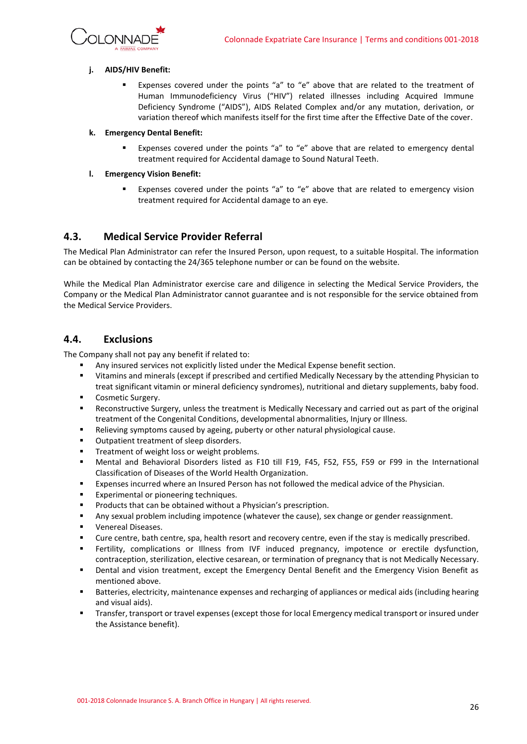

### **j. AIDS/HIV Benefit:**

Expenses covered under the points "a" to "e" above that are related to the treatment of Human Immunodeficiency Virus ("HIV") related illnesses including Acquired Immune Deficiency Syndrome ("AIDS"), AIDS Related Complex and/or any mutation, derivation, or variation thereof which manifests itself for the first time after the Effective Date of the cover.

#### **k. Emergency Dental Benefit:**

Expenses covered under the points "a" to "e" above that are related to emergency dental treatment required for Accidental damage to Sound Natural Teeth.

### **l. Emergency Vision Benefit:**

Expenses covered under the points "a" to "e" above that are related to emergency vision treatment required for Accidental damage to an eye.

### <span id="page-25-0"></span>**4.3. Medical Service Provider Referral**

The Medical Plan Administrator can refer the Insured Person, upon request, to a suitable Hospital. The information can be obtained by contacting the 24/365 telephone number or can be found on the website.

While the Medical Plan Administrator exercise care and diligence in selecting the Medical Service Providers, the Company or the Medical Plan Administrator cannot guarantee and is not responsible for the service obtained from the Medical Service Providers.

### <span id="page-25-1"></span>**4.4. Exclusions**

The Company shall not pay any benefit if related to:

- Any insured services not explicitly listed under the Medical Expense benefit section.
- Vitamins and minerals (except if prescribed and certified Medically Necessary by the attending Physician to treat significant vitamin or mineral deficiency syndromes), nutritional and dietary supplements, baby food.
- Cosmetic Surgery.
- Reconstructive Surgery, unless the treatment is Medically Necessary and carried out as part of the original treatment of the Congenital Conditions, developmental abnormalities, Injury or Illness.
- Relieving symptoms caused by ageing, puberty or other natural physiological cause.
- Outpatient treatment of sleep disorders.
- Treatment of weight loss or weight problems.
- Mental and Behavioral Disorders listed as F10 till F19, F45, F52, F55, F59 or F99 in the International Classification of Diseases of the World Health Organization.
- Expenses incurred where an Insured Person has not followed the medical advice of the Physician.
- Experimental or pioneering techniques.
- Products that can be obtained without a Physician's prescription.
- Any sexual problem including impotence (whatever the cause), sex change or gender reassignment.
- Venereal Diseases.
- Cure centre, bath centre, spa, health resort and recovery centre, even if the stay is medically prescribed.
- Fertility, complications or Illness from IVF induced pregnancy, impotence or erectile dysfunction, contraception, sterilization, elective cesarean, or termination of pregnancy that is not Medically Necessary.
- **•** Dental and vision treatment, except the Emergency Dental Benefit and the Emergency Vision Benefit as mentioned above.
- Batteries, electricity, maintenance expenses and recharging of appliances or medical aids (including hearing and visual aids).
- Transfer, transport or travel expenses (except those for local Emergency medical transport or insured under the Assistance benefit).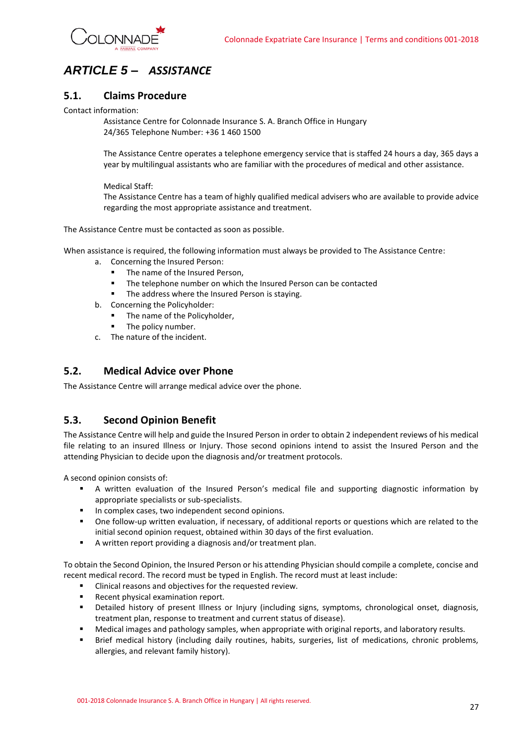

## <span id="page-26-0"></span>*ARTICLE 5 – ASSISTANCE*

### <span id="page-26-1"></span>**5.1. Claims Procedure**

Contact information:

Assistance Centre for Colonnade Insurance S. A. Branch Office in Hungary 24/365 Telephone Number: +36 1 460 1500

The Assistance Centre operates a telephone emergency service that is staffed 24 hours a day, 365 days a year by multilingual assistants who are familiar with the procedures of medical and other assistance.

### Medical Staff:

The Assistance Centre has a team of highly qualified medical advisers who are available to provide advice regarding the most appropriate assistance and treatment.

The Assistance Centre must be contacted as soon as possible.

When assistance is required, the following information must always be provided to The Assistance Centre:

- a. Concerning the Insured Person:
	- The name of the Insured Person,
	- The telephone number on which the Insured Person can be contacted
	- The address where the Insured Person is staying.
- b. Concerning the Policyholder:
	- The name of the Policyholder,
	- The policy number.
- c. The nature of the incident.

### <span id="page-26-2"></span>**5.2. Medical Advice over Phone**

The Assistance Centre will arrange medical advice over the phone.

### <span id="page-26-3"></span>**5.3. Second Opinion Benefit**

The Assistance Centre will help and guide the Insured Person in order to obtain 2 independent reviews of his medical file relating to an insured Illness or Injury. Those second opinions intend to assist the Insured Person and the attending Physician to decide upon the diagnosis and/or treatment protocols.

A second opinion consists of:

- A written evaluation of the Insured Person's medical file and supporting diagnostic information by appropriate specialists or sub-specialists.
- In complex cases, two independent second opinions.
- One follow-up written evaluation, if necessary, of additional reports or questions which are related to the initial second opinion request, obtained within 30 days of the first evaluation.
- A written report providing a diagnosis and/or treatment plan.

To obtain the Second Opinion, the Insured Person or his attending Physician should compile a complete, concise and recent medical record. The record must be typed in English. The record must at least include:

- Clinical reasons and objectives for the requested review.
- Recent physical examination report.
- Detailed history of present Illness or Injury (including signs, symptoms, chronological onset, diagnosis, treatment plan, response to treatment and current status of disease).
- Medical images and pathology samples, when appropriate with original reports, and laboratory results.
- Brief medical history (including daily routines, habits, surgeries, list of medications, chronic problems, allergies, and relevant family history).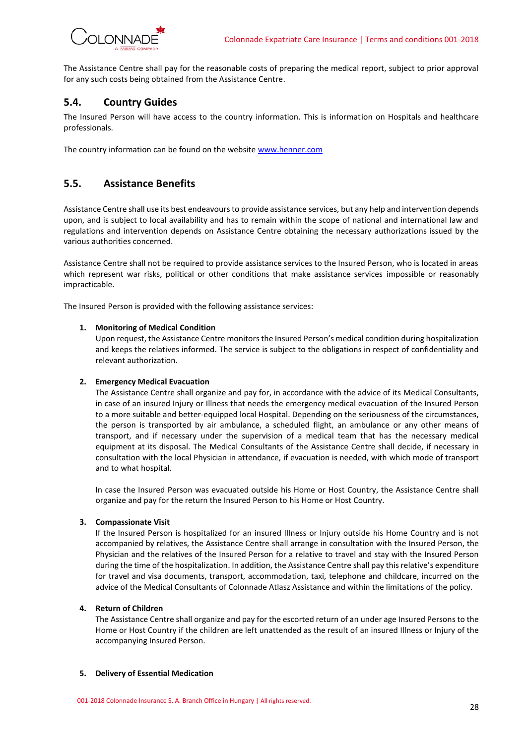

The Assistance Centre shall pay for the reasonable costs of preparing the medical report, subject to prior approval for any such costs being obtained from the Assistance Centre.

### <span id="page-27-0"></span>**5.4. Country Guides**

The Insured Person will have access to the country information. This is information on Hospitals and healthcare professionals.

The country information can be found on the websit[e www.henner.com](http://www.henner.com/)

### <span id="page-27-1"></span>**5.5. Assistance Benefits**

Assistance Centre shall use its best endeavours to provide assistance services, but any help and intervention depends upon, and is subject to local availability and has to remain within the scope of national and international law and regulations and intervention depends on Assistance Centre obtaining the necessary authorizations issued by the various authorities concerned.

Assistance Centre shall not be required to provide assistance services to the Insured Person, who is located in areas which represent war risks, political or other conditions that make assistance services impossible or reasonably impracticable.

The Insured Person is provided with the following assistance services:

### **1. Monitoring of Medical Condition**

Upon request, the Assistance Centre monitors the Insured Person's medical condition during hospitalization and keeps the relatives informed. The service is subject to the obligations in respect of confidentiality and relevant authorization.

### **2. Emergency Medical Evacuation**

The Assistance Centre shall organize and pay for, in accordance with the advice of its Medical Consultants, in case of an insured Injury or Illness that needs the emergency medical evacuation of the Insured Person to a more suitable and better-equipped local Hospital. Depending on the seriousness of the circumstances, the person is transported by air ambulance, a scheduled flight, an ambulance or any other means of transport, and if necessary under the supervision of a medical team that has the necessary medical equipment at its disposal. The Medical Consultants of the Assistance Centre shall decide, if necessary in consultation with the local Physician in attendance, if evacuation is needed, with which mode of transport and to what hospital.

In case the Insured Person was evacuated outside his Home or Host Country, the Assistance Centre shall organize and pay for the return the Insured Person to his Home or Host Country.

### **3. Compassionate Visit**

If the Insured Person is hospitalized for an insured Illness or Injury outside his Home Country and is not accompanied by relatives, the Assistance Centre shall arrange in consultation with the Insured Person, the Physician and the relatives of the Insured Person for a relative to travel and stay with the Insured Person during the time of the hospitalization. In addition, the Assistance Centre shall pay this relative's expenditure for travel and visa documents, transport, accommodation, taxi, telephone and childcare, incurred on the advice of the Medical Consultants of Colonnade Atlasz Assistance and within the limitations of the policy.

#### **4. Return of Children**

The Assistance Centre shall organize and pay for the escorted return of an under age Insured Persons to the Home or Host Country if the children are left unattended as the result of an insured Illness or Injury of the accompanying Insured Person.

#### **5. Delivery of Essential Medication**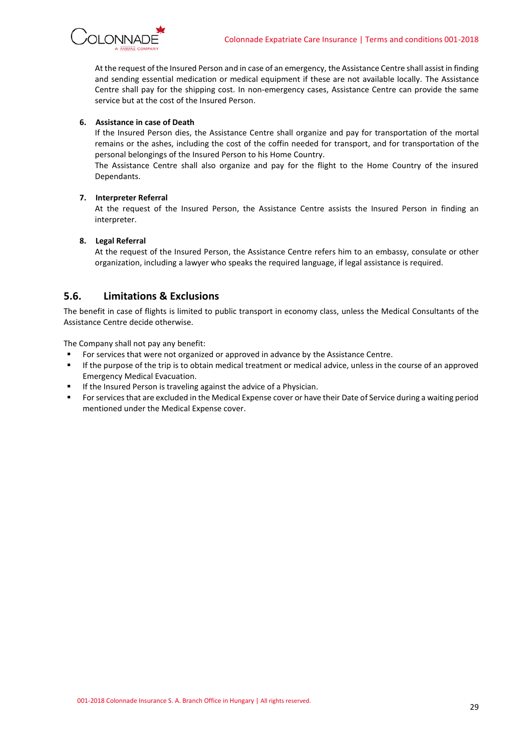

At the request of the Insured Person and in case of an emergency, the Assistance Centre shall assist in finding and sending essential medication or medical equipment if these are not available locally. The Assistance Centre shall pay for the shipping cost. In non-emergency cases, Assistance Centre can provide the same service but at the cost of the Insured Person.

### **6. Assistance in case of Death**

If the Insured Person dies, the Assistance Centre shall organize and pay for transportation of the mortal remains or the ashes, including the cost of the coffin needed for transport, and for transportation of the personal belongings of the Insured Person to his Home Country.

The Assistance Centre shall also organize and pay for the flight to the Home Country of the insured Dependants.

### **7. Interpreter Referral**

At the request of the Insured Person, the Assistance Centre assists the Insured Person in finding an interpreter.

### **8. Legal Referral**

At the request of the Insured Person, the Assistance Centre refers him to an embassy, consulate or other organization, including a lawyer who speaks the required language, if legal assistance is required.

### <span id="page-28-0"></span>**5.6. Limitations & Exclusions**

The benefit in case of flights is limited to public transport in economy class, unless the Medical Consultants of the Assistance Centre decide otherwise.

The Company shall not pay any benefit:

- For services that were not organized or approved in advance by the Assistance Centre.
- If the purpose of the trip is to obtain medical treatment or medical advice, unless in the course of an approved Emergency Medical Evacuation.
- **■** If the Insured Person is traveling against the advice of a Physician.
- For services that are excluded in the Medical Expense cover or have their Date of Service during a waiting period mentioned under the Medical Expense cover.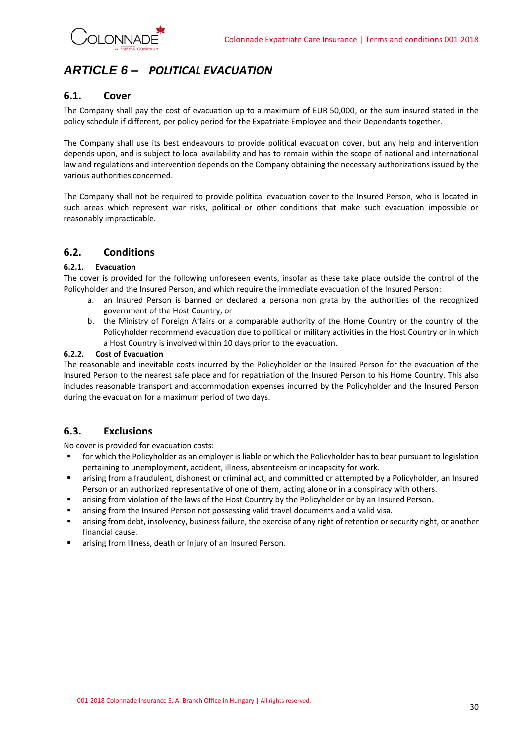

## <span id="page-29-0"></span>*ARTICLE 6 – POLITICAL EVACUATION*

### <span id="page-29-1"></span>**6.1. Cover**

The Company shall pay the cost of evacuation up to a maximum of EUR 50,000, or the sum insured stated in the policy schedule if different, per policy period for the Expatriate Employee and their Dependants together.

The Company shall use its best endeavours to provide political evacuation cover, but any help and intervention depends upon, and is subject to local availability and has to remain within the scope of national and international law and regulations and intervention depends on the Company obtaining the necessary authorizations issued by the various authorities concerned.

The Company shall not be required to provide political evacuation cover to the Insured Person, who is located in such areas which represent war risks, political or other conditions that make such evacuation impossible or reasonably impracticable.

### <span id="page-29-2"></span>**6.2. Conditions**

### **6.2.1. Evacuation**

The cover is provided for the following unforeseen events, insofar as these take place outside the control of the Policyholder and the Insured Person, and which require the immediate evacuation of the Insured Person:

- a. an Insured Person is banned or declared a persona non grata by the authorities of the recognized government of the Host Country, or
- b. the Ministry of Foreign Affairs or a comparable authority of the Home Country or the country of the Policyholder recommend evacuation due to political or military activities in the Host Country or in which a Host Country is involved within 10 days prior to the evacuation.

### **6.2.2. Cost of Evacuation**

The reasonable and inevitable costs incurred by the Policyholder or the Insured Person for the evacuation of the Insured Person to the nearest safe place and for repatriation of the Insured Person to his Home Country. This also includes reasonable transport and accommodation expenses incurred by the Policyholder and the Insured Person during the evacuation for a maximum period of two days.

### <span id="page-29-3"></span>**6.3. Exclusions**

No cover is provided for evacuation costs:

- for which the Policyholder as an employer is liable or which the Policyholder has to bear pursuant to legislation pertaining to unemployment, accident, illness, absenteeism or incapacity for work.
- **■** arising from a fraudulent, dishonest or criminal act, and committed or attempted by a Policyholder, an Insured Person or an authorized representative of one of them, acting alone or in a conspiracy with others.
- **■** arising from violation of the laws of the Host Country by the Policyholder or by an Insured Person.
- **■** arising from the Insured Person not possessing valid travel documents and a valid visa.
- arising from debt, insolvency, business failure, the exercise of any right of retention or security right, or another financial cause.
- arising from Illness, death or Injury of an Insured Person.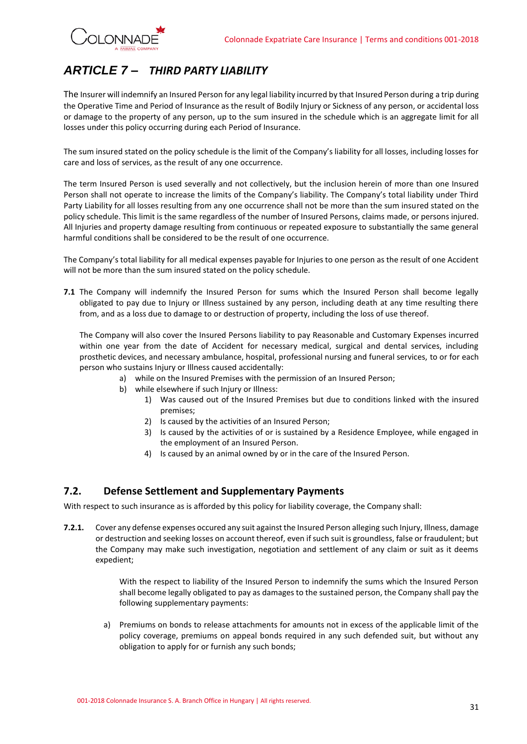

## <span id="page-30-0"></span>*ARTICLE 7 – THIRD PARTY LIABILITY*

The Insurer will indemnify an Insured Person for any legal liability incurred by that Insured Person during a trip during the Operative Time and Period of Insurance as the result of Bodily Injury or Sickness of any person, or accidental loss or damage to the property of any person, up to the sum insured in the schedule which is an aggregate limit for all losses under this policy occurring during each Period of Insurance.

The sum insured stated on the policy schedule is the limit of the Company's liability for all losses, including losses for care and loss of services, as the result of any one occurrence.

The term Insured Person is used severally and not collectively, but the inclusion herein of more than one Insured Person shall not operate to increase the limits of the Company's liability. The Company's total liability under Third Party Liability for all losses resulting from any one occurrence shall not be more than the sum insured stated on the policy schedule. This limit is the same regardless of the number of Insured Persons, claims made, or persons injured. All Injuries and property damage resulting from continuous or repeated exposure to substantially the same general harmful conditions shall be considered to be the result of one occurrence.

The Company's total liability for all medical expenses payable for Injuries to one person as the result of one Accident will not be more than the sum insured stated on the policy schedule.

**7.1** The Company will indemnify the Insured Person for sums which the Insured Person shall become legally obligated to pay due to Injury or Illness sustained by any person, including death at any time resulting there from, and as a loss due to damage to or destruction of property, including the loss of use thereof.

The Company will also cover the Insured Persons liability to pay Reasonable and Customary Expenses incurred within one year from the date of Accident for necessary medical, surgical and dental services, including prosthetic devices, and necessary ambulance, hospital, professional nursing and funeral services, to or for each person who sustains Injury or Illness caused accidentally:

- a) while on the Insured Premises with the permission of an Insured Person;
- b) while elsewhere if such Injury or Illness:
	- 1) Was caused out of the Insured Premises but due to conditions linked with the insured premises;
	- 2) Is caused by the activities of an Insured Person;
	- 3) Is caused by the activities of or is sustained by a Residence Employee, while engaged in the employment of an Insured Person.
	- 4) Is caused by an animal owned by or in the care of the Insured Person.

### <span id="page-30-1"></span>**7.2. Defense Settlement and Supplementary Payments**

With respect to such insurance as is afforded by this policy for liability coverage, the Company shall:

**7.2.1.** Cover any defense expenses occured any suit against the Insured Person alleging such Injury, Illness, damage or destruction and seeking losses on account thereof, even if such suit is groundless, false or fraudulent; but the Company may make such investigation, negotiation and settlement of any claim or suit as it deems expedient;

> With the respect to liability of the Insured Person to indemnify the sums which the Insured Person shall become legally obligated to pay as damages to the sustained person, the Company shall pay the following supplementary payments:

a) Premiums on bonds to release attachments for amounts not in excess of the applicable limit of the policy coverage, premiums on appeal bonds required in any such defended suit, but without any obligation to apply for or furnish any such bonds;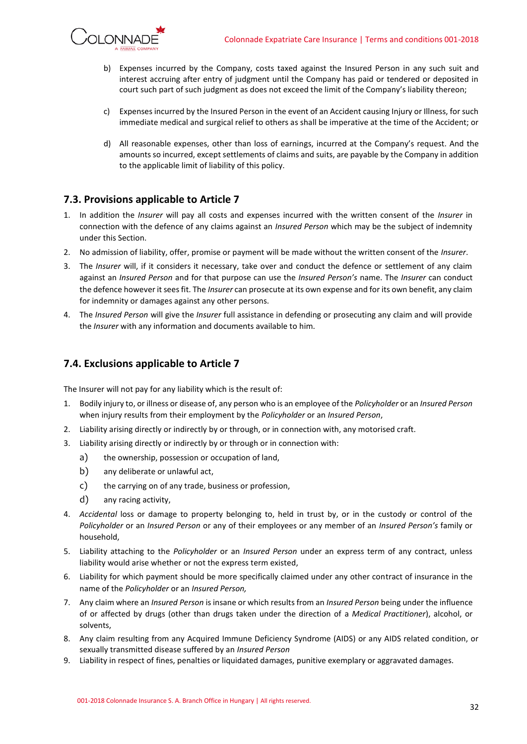

- b) Expenses incurred by the Company, costs taxed against the Insured Person in any such suit and interest accruing after entry of judgment until the Company has paid or tendered or deposited in court such part of such judgment as does not exceed the limit of the Company's liability thereon;
- c) Expenses incurred by the Insured Person in the event of an Accident causing Injury or Illness, for such immediate medical and surgical relief to others as shall be imperative at the time of the Accident; or
- d) All reasonable expenses, other than loss of earnings, incurred at the Company's request. And the amounts so incurred, except settlements of claims and suits, are payable by the Company in addition to the applicable limit of liability of this policy.

### **7.3. Provisions applicable to Article 7**

- 1. In addition the *Insurer* will pay all costs and expenses incurred with the written consent of the *Insurer* in connection with the defence of any claims against an *Insured Person* which may be the subject of indemnity under this Section.
- 2. No admission of liability, offer, promise or payment will be made without the written consent of the *Insurer*.
- 3. The *Insurer* will, if it considers it necessary, take over and conduct the defence or settlement of any claim against an *Insured Person* and for that purpose can use the *Insured Person's* name. The *Insurer* can conduct the defence however it sees fit. The *Insurer* can prosecute at its own expense and for its own benefit, any claim for indemnity or damages against any other persons.
- 4. The *Insured Person* will give the *Insurer* full assistance in defending or prosecuting any claim and will provide the *Insurer* with any information and documents available to him.

### <span id="page-31-0"></span>**7.4. Exclusions applicable to Article 7**

The Insurer will not pay for any liability which is the result of:

- 1. Bodily injury to, or illness or disease of, any person who is an employee of the *Policyholder* or an *Insured Person* when injury results from their employment by the *Policyholder* or an *Insured Person*,
- 2. Liability arising directly or indirectly by or through, or in connection with, any motorised craft.
- 3. Liability arising directly or indirectly by or through or in connection with:
	- a) the ownership, possession or occupation of land,
	- b) any deliberate or unlawful act,
	- c) the carrying on of any trade, business or profession,
	- d) any racing activity,
- 4. *Accidental* loss or damage to property belonging to, held in trust by, or in the custody or control of the *Policyholder* or an *Insured Person* or any of their employees or any member of an *Insured Person's* family or household,
- 5. Liability attaching to the *Policyholder* or an *Insured Person* under an express term of any contract, unless liability would arise whether or not the express term existed,
- 6. Liability for which payment should be more specifically claimed under any other contract of insurance in the name of the *Policyholder* or an *Insured Person,*
- 7. Any claim where an *Insured Person* is insane or which results from an *Insured Person* being under the influence of or affected by drugs (other than drugs taken under the direction of a *Medical Practitioner*), alcohol, or solvents,
- 8. Any claim resulting from any Acquired Immune Deficiency Syndrome (AIDS) or any AIDS related condition, or sexually transmitted disease suffered by an *Insured Person*
- 9. Liability in respect of fines, penalties or liquidated damages, punitive exemplary or aggravated damages.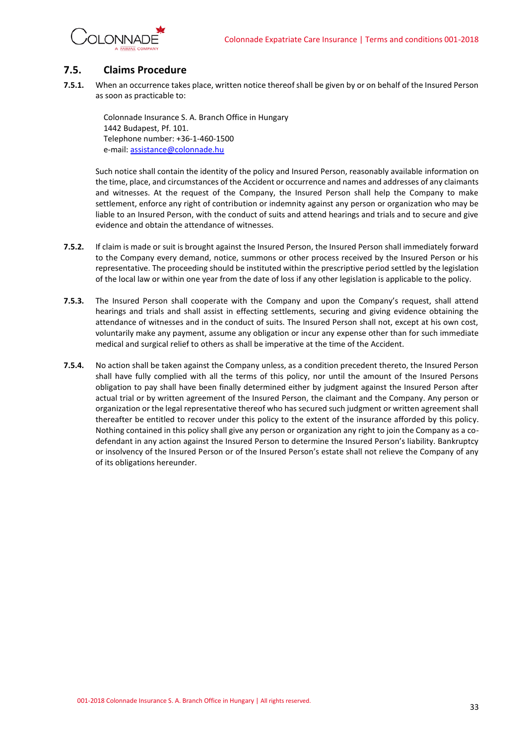

### <span id="page-32-0"></span>**7.5. Claims Procedure**

**7.5.1.** When an occurrence takes place, written notice thereof shall be given by or on behalf of the Insured Person as soon as practicable to:

Colonnade Insurance S. A. Branch Office in Hungary 1442 Budapest, Pf. 101. Telephone number: +36-1-460-1500 e-mail[: assistance@colonnade.hu](mailto:assistance@colonnade.hu)

Such notice shall contain the identity of the policy and Insured Person, reasonably available information on the time, place, and circumstances of the Accident or occurrence and names and addresses of any claimants and witnesses. At the request of the Company, the Insured Person shall help the Company to make settlement, enforce any right of contribution or indemnity against any person or organization who may be liable to an Insured Person, with the conduct of suits and attend hearings and trials and to secure and give evidence and obtain the attendance of witnesses.

- **7.5.2.** If claim is made or suit is brought against the Insured Person, the Insured Person shall immediately forward to the Company every demand, notice, summons or other process received by the Insured Person or his representative. The proceeding should be instituted within the prescriptive period settled by the legislation of the local law or within one year from the date of loss if any other legislation is applicable to the policy.
- **7.5.3.** The Insured Person shall cooperate with the Company and upon the Company's request, shall attend hearings and trials and shall assist in effecting settlements, securing and giving evidence obtaining the attendance of witnesses and in the conduct of suits. The Insured Person shall not, except at his own cost, voluntarily make any payment, assume any obligation or incur any expense other than for such immediate medical and surgical relief to others as shall be imperative at the time of the Accident.
- **7.5.4.** No action shall be taken against the Company unless, as a condition precedent thereto, the Insured Person shall have fully complied with all the terms of this policy, nor until the amount of the Insured Persons obligation to pay shall have been finally determined either by judgment against the Insured Person after actual trial or by written agreement of the Insured Person, the claimant and the Company. Any person or organization or the legal representative thereof who has secured such judgment or written agreement shall thereafter be entitled to recover under this policy to the extent of the insurance afforded by this policy. Nothing contained in this policy shall give any person or organization any right to join the Company as a codefendant in any action against the Insured Person to determine the Insured Person's liability. Bankruptcy or insolvency of the Insured Person or of the Insured Person's estate shall not relieve the Company of any of its obligations hereunder.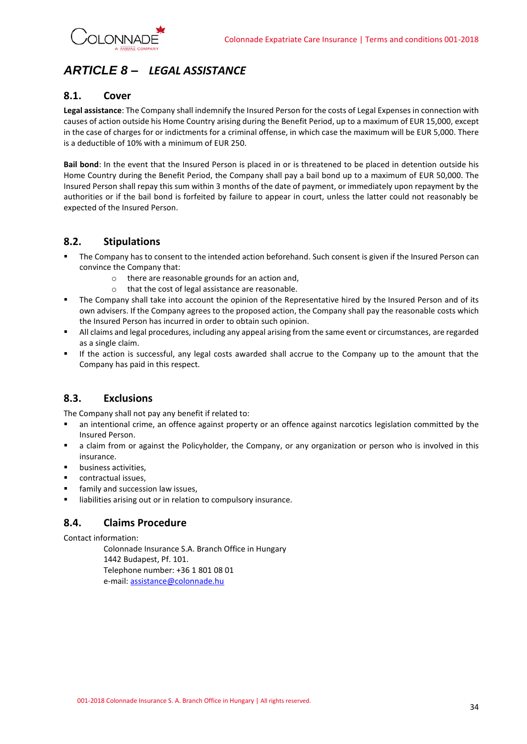

## <span id="page-33-0"></span>*ARTICLE 8 – LEGAL ASSISTANCE*

### <span id="page-33-1"></span>**8.1. Cover**

**Legal assistance**: The Company shall indemnify the Insured Person for the costs of Legal Expenses in connection with causes of action outside his Home Country arising during the Benefit Period, up to a maximum of EUR 15,000, except in the case of charges for or indictments for a criminal offense, in which case the maximum will be EUR 5,000. There is a deductible of 10% with a minimum of EUR 250.

**Bail bond**: In the event that the Insured Person is placed in or is threatened to be placed in detention outside his Home Country during the Benefit Period, the Company shall pay a bail bond up to a maximum of EUR 50,000. The Insured Person shall repay this sum within 3 months of the date of payment, or immediately upon repayment by the authorities or if the bail bond is forfeited by failure to appear in court, unless the latter could not reasonably be expected of the Insured Person.

### <span id="page-33-2"></span>**8.2. Stipulations**

- The Company has to consent to the intended action beforehand. Such consent is given if the Insured Person can convince the Company that:
	- o there are reasonable grounds for an action and,
	- o that the cost of legal assistance are reasonable.
- The Company shall take into account the opinion of the Representative hired by the Insured Person and of its own advisers. If the Company agrees to the proposed action, the Company shall pay the reasonable costs which the Insured Person has incurred in order to obtain such opinion.
- All claims and legal procedures, including any appeal arising from the same event or circumstances, are regarded as a single claim.
- If the action is successful, any legal costs awarded shall accrue to the Company up to the amount that the Company has paid in this respect.

### <span id="page-33-3"></span>**8.3. Exclusions**

The Company shall not pay any benefit if related to:

- an intentional crime, an offence against property or an offence against narcotics legislation committed by the Insured Person.
- **■** a claim from or against the Policyholder, the Company, or any organization or person who is involved in this insurance.
- business activities,
- contractual issues,
- family and succession law issues,
- <span id="page-33-4"></span>■ liabilities arising out or in relation to compulsory insurance.

### **8.4. Claims Procedure**

Contact information:

Colonnade Insurance S.A. Branch Office in Hungary 1442 Budapest, Pf. 101. Telephone number: +36 1 801 08 01 e-mail[: assistance@colonnade.hu](mailto:assistance@colonnade.hu)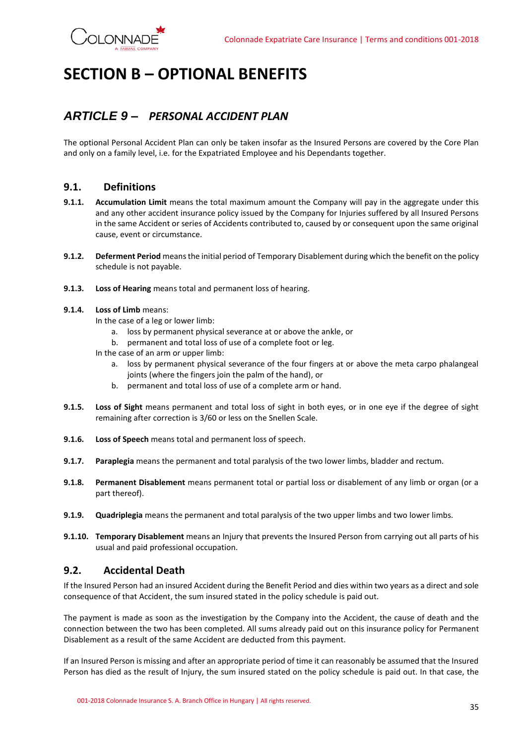

# <span id="page-34-0"></span>**SECTION B – OPTIONAL BENEFITS**

## <span id="page-34-1"></span>*ARTICLE 9 – PERSONAL ACCIDENT PLAN*

The optional Personal Accident Plan can only be taken insofar as the Insured Persons are covered by the Core Plan and only on a family level, i.e. for the Expatriated Employee and his Dependants together.

### <span id="page-34-2"></span>**9.1. Definitions**

- **9.1.1. Accumulation Limit** means the total maximum amount the Company will pay in the aggregate under this and any other accident insurance policy issued by the Company for Injuries suffered by all Insured Persons in the same Accident or series of Accidents contributed to, caused by or consequent upon the same original cause, event or circumstance.
- **9.1.2. Deferment Period** means the initial period of Temporary Disablement during which the benefit on the policy schedule is not payable.
- **9.1.3. Loss of Hearing** means total and permanent loss of hearing.

### **9.1.4. Loss of Limb** means:

- In the case of a leg or lower limb:
	- a. loss by permanent physical severance at or above the ankle, or
	- b. permanent and total loss of use of a complete foot or leg.
- In the case of an arm or upper limb:
	- a. loss by permanent physical severance of the four fingers at or above the meta carpo phalangeal joints (where the fingers join the palm of the hand), or
	- b. permanent and total loss of use of a complete arm or hand.
- **9.1.5. Loss of Sight** means permanent and total loss of sight in both eyes, or in one eye if the degree of sight remaining after correction is 3/60 or less on the Snellen Scale.
- **9.1.6. Loss of Speech** means total and permanent loss of speech.
- **9.1.7. Paraplegia** means the permanent and total paralysis of the two lower limbs, bladder and rectum.
- **9.1.8. Permanent Disablement** means permanent total or partial loss or disablement of any limb or organ (or a part thereof).
- **9.1.9. Quadriplegia** means the permanent and total paralysis of the two upper limbs and two lower limbs.
- **9.1.10. Temporary Disablement** means an Injury that prevents the Insured Person from carrying out all parts of his usual and paid professional occupation.

### <span id="page-34-3"></span>**9.2. Accidental Death**

If the Insured Person had an insured Accident during the Benefit Period and dies within two years as a direct and sole consequence of that Accident, the sum insured stated in the policy schedule is paid out.

The payment is made as soon as the investigation by the Company into the Accident, the cause of death and the connection between the two has been completed. All sums already paid out on this insurance policy for Permanent Disablement as a result of the same Accident are deducted from this payment.

If an Insured Person is missing and after an appropriate period of time it can reasonably be assumed that the Insured Person has died as the result of Injury, the sum insured stated on the policy schedule is paid out. In that case, the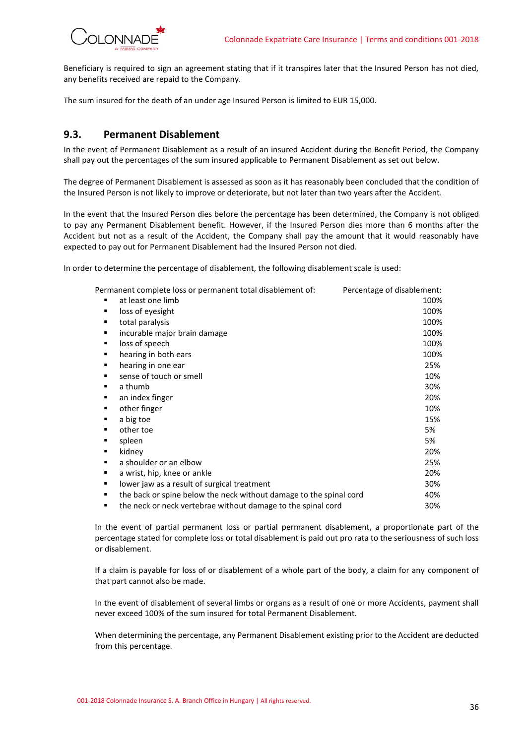

Beneficiary is required to sign an agreement stating that if it transpires later that the Insured Person has not died, any benefits received are repaid to the Company.

The sum insured for the death of an under age Insured Person is limited to EUR 15,000.

### <span id="page-35-0"></span>**9.3. Permanent Disablement**

In the event of Permanent Disablement as a result of an insured Accident during the Benefit Period, the Company shall pay out the percentages of the sum insured applicable to Permanent Disablement as set out below.

The degree of Permanent Disablement is assessed as soon as it has reasonably been concluded that the condition of the Insured Person is not likely to improve or deteriorate, but not later than two years after the Accident.

In the event that the Insured Person dies before the percentage has been determined, the Company is not obliged to pay any Permanent Disablement benefit. However, if the Insured Person dies more than 6 months after the Accident but not as a result of the Accident, the Company shall pay the amount that it would reasonably have expected to pay out for Permanent Disablement had the Insured Person not died.

In order to determine the percentage of disablement, the following disablement scale is used:

|   | Permanent complete loss or permanent total disablement of:         | Percentage of disablement: |
|---|--------------------------------------------------------------------|----------------------------|
| ٠ | at least one limb                                                  | 100%                       |
|   | loss of eyesight                                                   | 100%                       |
|   | total paralysis                                                    | 100%                       |
|   | incurable major brain damage                                       | 100%                       |
|   | loss of speech                                                     | 100%                       |
| ٠ | hearing in both ears                                               | 100%                       |
|   | hearing in one ear                                                 | 25%                        |
| ٠ | sense of touch or smell                                            | 10%                        |
|   | a thumb                                                            | 30%                        |
|   | an index finger                                                    | 20%                        |
|   | other finger                                                       | 10%                        |
|   | a big toe                                                          | 15%                        |
|   | other toe                                                          | 5%                         |
|   | spleen                                                             | 5%                         |
|   | kidney                                                             | 20%                        |
| ٠ | a shoulder or an elbow                                             | 25%                        |
| ٠ | a wrist, hip, knee or ankle                                        | 20%                        |
| ٠ | lower jaw as a result of surgical treatment                        | 30%                        |
| ٠ | the back or spine below the neck without damage to the spinal cord | 40%                        |
| ٠ | the neck or neck vertebrae without damage to the spinal cord       | 30%                        |

In the event of partial permanent loss or partial permanent disablement, a proportionate part of the percentage stated for complete loss or total disablement is paid out pro rata to the seriousness of such loss or disablement.

If a claim is payable for loss of or disablement of a whole part of the body, a claim for any component of that part cannot also be made.

In the event of disablement of several limbs or organs as a result of one or more Accidents, payment shall never exceed 100% of the sum insured for total Permanent Disablement.

When determining the percentage, any Permanent Disablement existing prior to the Accident are deducted from this percentage.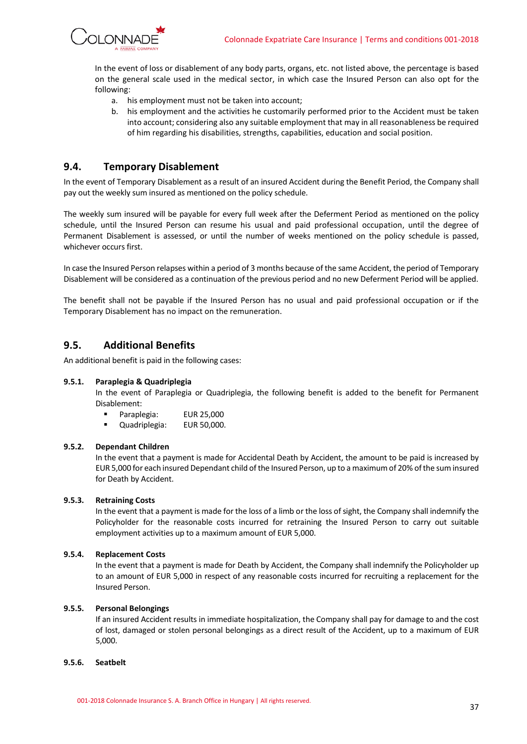

In the event of loss or disablement of any body parts, organs, etc. not listed above, the percentage is based on the general scale used in the medical sector, in which case the Insured Person can also opt for the following:

- a. his employment must not be taken into account;
- b. his employment and the activities he customarily performed prior to the Accident must be taken into account; considering also any suitable employment that may in all reasonableness be required of him regarding his disabilities, strengths, capabilities, education and social position.

### <span id="page-36-0"></span>**9.4. Temporary Disablement**

In the event of Temporary Disablement as a result of an insured Accident during the Benefit Period, the Company shall pay out the weekly sum insured as mentioned on the policy schedule.

The weekly sum insured will be payable for every full week after the Deferment Period as mentioned on the policy schedule, until the Insured Person can resume his usual and paid professional occupation, until the degree of Permanent Disablement is assessed, or until the number of weeks mentioned on the policy schedule is passed, whichever occurs first.

In case the Insured Person relapses within a period of 3 months because of the same Accident, the period of Temporary Disablement will be considered as a continuation of the previous period and no new Deferment Period will be applied.

The benefit shall not be payable if the Insured Person has no usual and paid professional occupation or if the Temporary Disablement has no impact on the remuneration.

### <span id="page-36-1"></span>**9.5. Additional Benefits**

An additional benefit is paid in the following cases:

### **9.5.1. Paraplegia & Quadriplegia**

In the event of Paraplegia or Quadriplegia, the following benefit is added to the benefit for Permanent Disablement:

- Paraplegia: EUR 25,000
- Quadriplegia: EUR 50,000.

### **9.5.2. Dependant Children**

In the event that a payment is made for Accidental Death by Accident, the amount to be paid is increased by EUR 5,000 for each insured Dependant child of the Insured Person, up to a maximumof 20% of the sum insured for Death by Accident.

### **9.5.3. Retraining Costs**

In the event that a payment is made for the loss of a limb or the loss of sight, the Company shall indemnify the Policyholder for the reasonable costs incurred for retraining the Insured Person to carry out suitable employment activities up to a maximum amount of EUR 5,000.

### **9.5.4. Replacement Costs**

In the event that a payment is made for Death by Accident, the Company shall indemnify the Policyholder up to an amount of EUR 5,000 in respect of any reasonable costs incurred for recruiting a replacement for the Insured Person.

#### **9.5.5. Personal Belongings**

If an insured Accident results in immediate hospitalization, the Company shall pay for damage to and the cost of lost, damaged or stolen personal belongings as a direct result of the Accident, up to a maximum of EUR 5,000.

### **9.5.6. Seatbelt**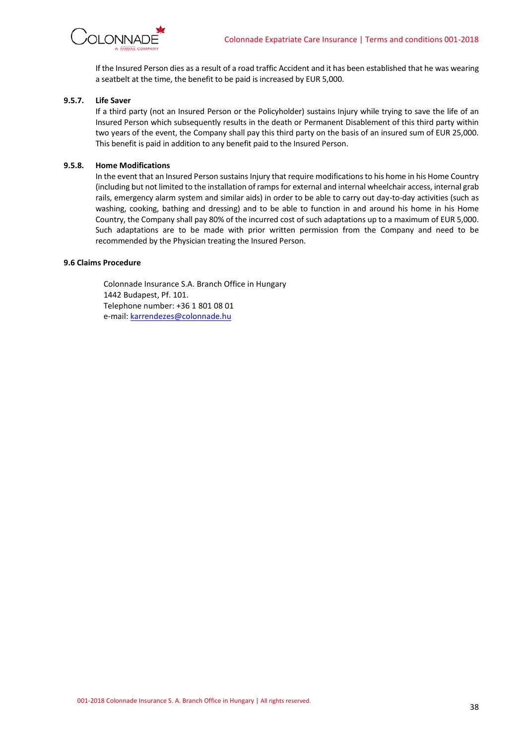

If the Insured Person dies as a result of a road traffic Accident and it has been established that he was wearing a seatbelt at the time, the benefit to be paid is increased by EUR 5,000.

### **9.5.7. Life Saver**

If a third party (not an Insured Person or the Policyholder) sustains Injury while trying to save the life of an Insured Person which subsequently results in the death or Permanent Disablement of this third party within two years of the event, the Company shall pay this third party on the basis of an insured sum of EUR 25,000. This benefit is paid in addition to any benefit paid to the Insured Person.

### **9.5.8. Home Modifications**

In the event that an Insured Person sustains Injury that require modifications to his home in his Home Country (including but not limited to the installation of ramps for external and internal wheelchair access, internal grab rails, emergency alarm system and similar aids) in order to be able to carry out day-to-day activities (such as washing, cooking, bathing and dressing) and to be able to function in and around his home in his Home Country, the Company shall pay 80% of the incurred cost of such adaptations up to a maximum of EUR 5,000. Such adaptations are to be made with prior written permission from the Company and need to be recommended by the Physician treating the Insured Person.

#### **9.6 Claims Procedure**

Colonnade Insurance S.A. Branch Office in Hungary 1442 Budapest, Pf. 101. Telephone number: +36 1 801 08 01 e-mail[: karrendezes@colonnade.hu](mailto:karrendezes@colonnade.hu)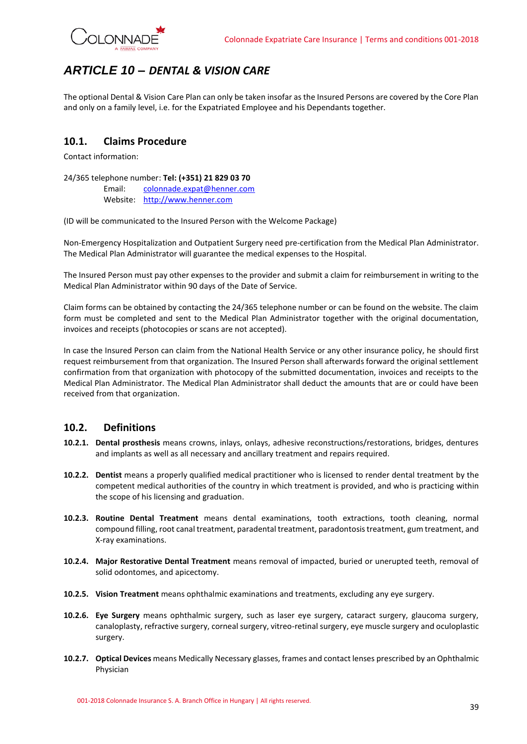

## <span id="page-38-0"></span>*ARTICLE 10 – DENTAL & VISION CARE*

The optional Dental & Vision Care Plan can only be taken insofar as the Insured Persons are covered by the Core Plan and only on a family level, i.e. for the Expatriated Employee and his Dependants together.

### <span id="page-38-1"></span>**10.1. Claims Procedure**

Contact information:

### 24/365 telephone number: **Tel: (+351) 21 829 03 70**

Email: [colonnade.expat@henner.com](mailto:colonnade.expat@henner.com) Website: [http://www.henner.com](http://www.henner.com/)

(ID will be communicated to the Insured Person with the Welcome Package)

Non-Emergency Hospitalization and Outpatient Surgery need pre-certification from the Medical Plan Administrator. The Medical Plan Administrator will guarantee the medical expenses to the Hospital.

The Insured Person must pay other expenses to the provider and submit a claim for reimbursement in writing to the Medical Plan Administrator within 90 days of the Date of Service.

Claim forms can be obtained by contacting the 24/365 telephone number or can be found on the website. The claim form must be completed and sent to the Medical Plan Administrator together with the original documentation, invoices and receipts (photocopies or scans are not accepted).

In case the Insured Person can claim from the National Health Service or any other insurance policy, he should first request reimbursement from that organization. The Insured Person shall afterwards forward the original settlement confirmation from that organization with photocopy of the submitted documentation, invoices and receipts to the Medical Plan Administrator. The Medical Plan Administrator shall deduct the amounts that are or could have been received from that organization.

### <span id="page-38-2"></span>**10.2. Definitions**

- **10.2.1. Dental prosthesis** means crowns, inlays, onlays, adhesive reconstructions/restorations, bridges, dentures and implants as well as all necessary and ancillary treatment and repairs required.
- **10.2.2. Dentist** means a properly qualified medical practitioner who is licensed to render dental treatment by the competent medical authorities of the country in which treatment is provided, and who is practicing within the scope of his licensing and graduation.
- **10.2.3. Routine Dental Treatment** means dental examinations, tooth extractions, tooth cleaning, normal compound filling, root canal treatment, paradental treatment, paradontosis treatment, gum treatment, and X-ray examinations.
- **10.2.4. Major Restorative Dental Treatment** means removal of impacted, buried or unerupted teeth, removal of solid odontomes, and apicectomy.
- **10.2.5. Vision Treatment** means ophthalmic examinations and treatments, excluding any eye surgery.
- **10.2.6. Eye Surgery** means ophthalmic surgery, such as laser eye surgery, cataract surgery, glaucoma surgery, canaloplasty, refractive surgery, corneal surgery, vitreo-retinal surgery, eye muscle surgery and oculoplastic surgery.
- **10.2.7. Optical Devices** means Medically Necessary glasses, frames and contact lenses prescribed by an Ophthalmic Physician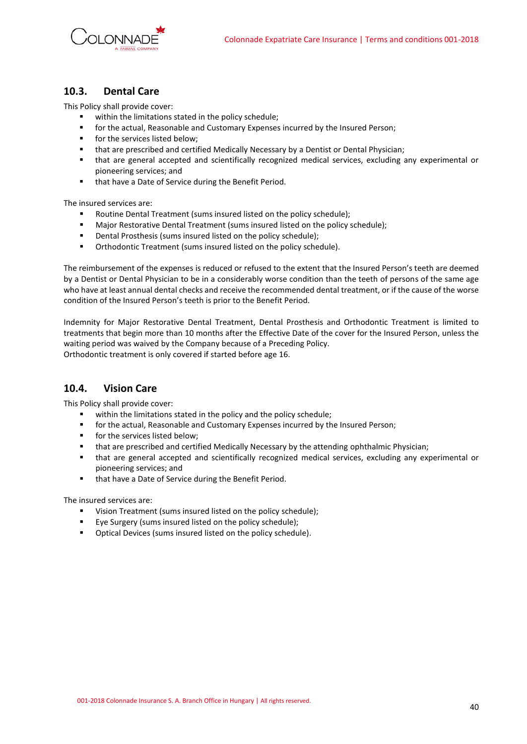

### <span id="page-39-0"></span>**10.3. Dental Care**

This Policy shall provide cover:

- within the limitations stated in the policy schedule;
- **•** for the actual, Reasonable and Customary Expenses incurred by the Insured Person;
- for the services listed below;
- that are prescribed and certified Medically Necessary by a Dentist or Dental Physician;
- that are general accepted and scientifically recognized medical services, excluding any experimental or pioneering services; and
- that have a Date of Service during the Benefit Period.

The insured services are:

- Routine Dental Treatment (sums insured listed on the policy schedule);
- Major Restorative Dental Treatment (sums insured listed on the policy schedule);
- Dental Prosthesis (sums insured listed on the policy schedule);
- **•** Orthodontic Treatment (sums insured listed on the policy schedule).

The reimbursement of the expenses is reduced or refused to the extent that the Insured Person's teeth are deemed by a Dentist or Dental Physician to be in a considerably worse condition than the teeth of persons of the same age who have at least annual dental checks and receive the recommended dental treatment, or if the cause of the worse condition of the Insured Person's teeth is prior to the Benefit Period.

Indemnity for Major Restorative Dental Treatment, Dental Prosthesis and Orthodontic Treatment is limited to treatments that begin more than 10 months after the Effective Date of the cover for the Insured Person, unless the waiting period was waived by the Company because of a Preceding Policy. Orthodontic treatment is only covered if started before age 16.

### <span id="page-39-1"></span>**10.4. Vision Care**

This Policy shall provide cover:

- within the limitations stated in the policy and the policy schedule;
- for the actual, Reasonable and Customary Expenses incurred by the Insured Person;
- for the services listed below;
- that are prescribed and certified Medically Necessary by the attending ophthalmic Physician;
- that are general accepted and scientifically recognized medical services, excluding any experimental or pioneering services; and
- that have a Date of Service during the Benefit Period.

The insured services are:

- Vision Treatment (sums insured listed on the policy schedule);
- Eye Surgery (sums insured listed on the policy schedule);
- Optical Devices (sums insured listed on the policy schedule).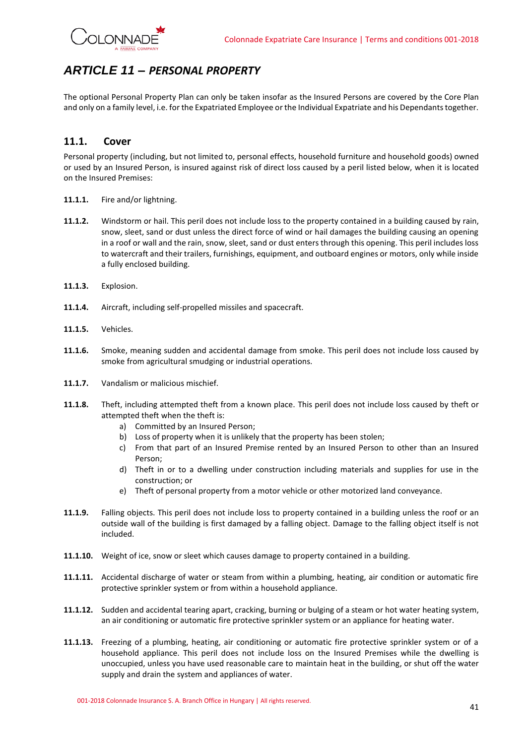## <span id="page-40-0"></span>*ARTICLE 11 – PERSONAL PROPERTY*

The optional Personal Property Plan can only be taken insofar as the Insured Persons are covered by the Core Plan and only on a family level, i.e. for the Expatriated Employee or the Individual Expatriate and his Dependants together.

### <span id="page-40-1"></span>**11.1. Cover**

Personal property (including, but not limited to, personal effects, household furniture and household goods) owned or used by an Insured Person, is insured against risk of direct loss caused by a peril listed below, when it is located on the Insured Premises:

- **11.1.1.** Fire and/or lightning.
- **11.1.2.** Windstorm or hail. This peril does not include loss to the property contained in a building caused by rain, snow, sleet, sand or dust unless the direct force of wind or hail damages the building causing an opening in a roof or wall and the rain, snow, sleet, sand or dust enters through this opening. This peril includes loss to watercraft and their trailers, furnishings, equipment, and outboard engines or motors, only while inside a fully enclosed building.
- **11.1.3.** Explosion.
- **11.1.4.** Aircraft, including self-propelled missiles and spacecraft.
- **11.1.5.** Vehicles.
- **11.1.6.** Smoke, meaning sudden and accidental damage from smoke. This peril does not include loss caused by smoke from agricultural smudging or industrial operations.
- **11.1.7.** Vandalism or malicious mischief.
- **11.1.8.** Theft, including attempted theft from a known place. This peril does not include loss caused by theft or attempted theft when the theft is:
	- a) Committed by an Insured Person;
	- b) Loss of property when it is unlikely that the property has been stolen;
	- c) From that part of an Insured Premise rented by an Insured Person to other than an Insured Person;
	- d) Theft in or to a dwelling under construction including materials and supplies for use in the construction; or
	- e) Theft of personal property from a motor vehicle or other motorized land conveyance.
- **11.1.9.** Falling objects. This peril does not include loss to property contained in a building unless the roof or an outside wall of the building is first damaged by a falling object. Damage to the falling object itself is not included.
- **11.1.10.** Weight of ice, snow or sleet which causes damage to property contained in a building.
- **11.1.11.** Accidental discharge of water or steam from within a plumbing, heating, air condition or automatic fire protective sprinkler system or from within a household appliance.
- **11.1.12.** Sudden and accidental tearing apart, cracking, burning or bulging of a steam or hot water heating system, an air conditioning or automatic fire protective sprinkler system or an appliance for heating water.
- **11.1.13.** Freezing of a plumbing, heating, air conditioning or automatic fire protective sprinkler system or of a household appliance. This peril does not include loss on the Insured Premises while the dwelling is unoccupied, unless you have used reasonable care to maintain heat in the building, or shut off the water supply and drain the system and appliances of water.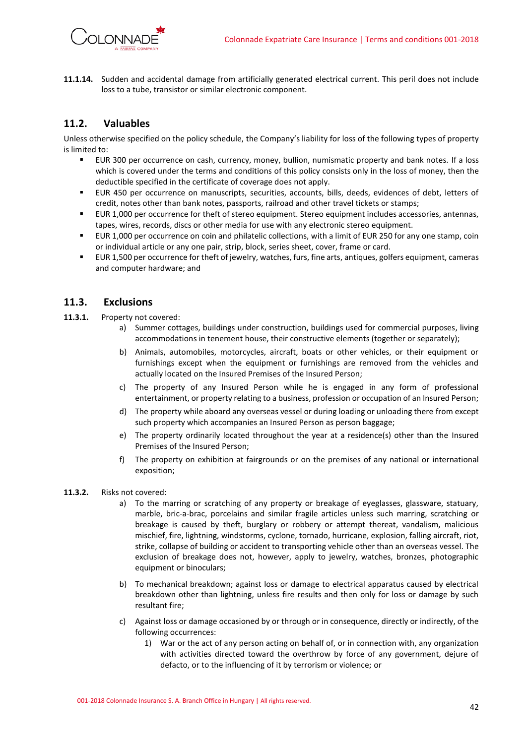

**11.1.14.** Sudden and accidental damage from artificially generated electrical current. This peril does not include loss to a tube, transistor or similar electronic component.

### <span id="page-41-0"></span>**11.2. Valuables**

Unless otherwise specified on the policy schedule, the Company's liability for loss of the following types of property is limited to:

- EUR 300 per occurrence on cash, currency, money, bullion, numismatic property and bank notes. If a loss which is covered under the terms and conditions of this policy consists only in the loss of money, then the deductible specified in the certificate of coverage does not apply.
- EUR 450 per occurrence on manuscripts, securities, accounts, bills, deeds, evidences of debt, letters of credit, notes other than bank notes, passports, railroad and other travel tickets or stamps;
- EUR 1,000 per occurrence for theft of stereo equipment. Stereo equipment includes accessories, antennas, tapes, wires, records, discs or other media for use with any electronic stereo equipment.
- EUR 1,000 per occurrence on coin and philatelic collections, with a limit of EUR 250 for any one stamp, coin or individual article or any one pair, strip, block, series sheet, cover, frame or card.
- EUR 1,500 per occurrence for theft of jewelry, watches, furs, fine arts, antiques, golfers equipment, cameras and computer hardware; and

### <span id="page-41-1"></span>**11.3. Exclusions**

- **11.3.1.** Property not covered:
	- a) Summer cottages, buildings under construction, buildings used for commercial purposes, living accommodations in tenement house, their constructive elements (together or separately);
	- b) Animals, automobiles, motorcycles, aircraft, boats or other vehicles, or their equipment or furnishings except when the equipment or furnishings are removed from the vehicles and actually located on the Insured Premises of the Insured Person;
	- c) The property of any Insured Person while he is engaged in any form of professional entertainment, or property relating to a business, profession or occupation of an Insured Person;
	- d) The property while aboard any overseas vessel or during loading or unloading there from except such property which accompanies an Insured Person as person baggage;
	- e) The property ordinarily located throughout the year at a residence(s) other than the Insured Premises of the Insured Person;
	- f) The property on exhibition at fairgrounds or on the premises of any national or international exposition;

### **11.3.2.** Risks not covered:

- a) To the marring or scratching of any property or breakage of eyeglasses, glassware, statuary, marble, bric-a-brac, porcelains and similar fragile articles unless such marring, scratching or breakage is caused by theft, burglary or robbery or attempt thereat, vandalism, malicious mischief, fire, lightning, windstorms, cyclone, tornado, hurricane, explosion, falling aircraft, riot, strike, collapse of building or accident to transporting vehicle other than an overseas vessel. The exclusion of breakage does not, however, apply to jewelry, watches, bronzes, photographic equipment or binoculars;
- b) To mechanical breakdown; against loss or damage to electrical apparatus caused by electrical breakdown other than lightning, unless fire results and then only for loss or damage by such resultant fire;
- c) Against loss or damage occasioned by or through or in consequence, directly or indirectly, of the following occurrences:
	- 1) War or the act of any person acting on behalf of, or in connection with, any organization with activities directed toward the overthrow by force of any government, dejure of defacto, or to the influencing of it by terrorism or violence; or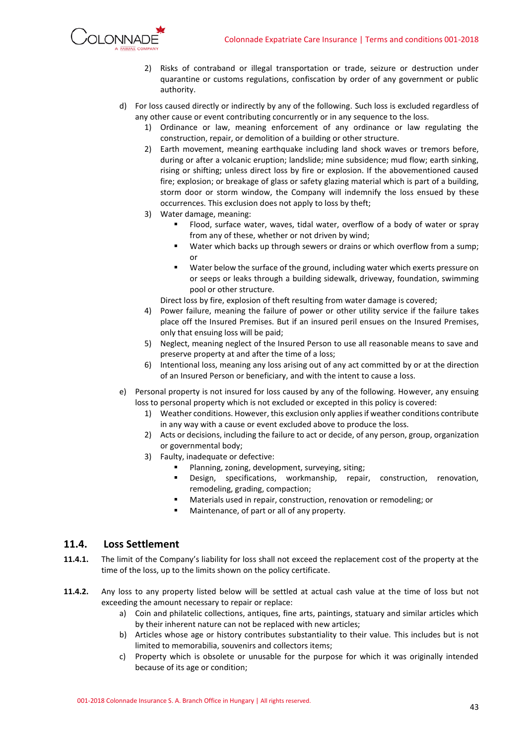

- 2) Risks of contraband or illegal transportation or trade, seizure or destruction under quarantine or customs regulations, confiscation by order of any government or public authority.
- d) For loss caused directly or indirectly by any of the following. Such loss is excluded regardless of any other cause or event contributing concurrently or in any sequence to the loss.
	- 1) Ordinance or law, meaning enforcement of any ordinance or law regulating the construction, repair, or demolition of a building or other structure.
	- 2) Earth movement, meaning earthquake including land shock waves or tremors before, during or after a volcanic eruption; landslide; mine subsidence; mud flow; earth sinking, rising or shifting; unless direct loss by fire or explosion. If the abovementioned caused fire; explosion; or breakage of glass or safety glazing material which is part of a building, storm door or storm window, the Company will indemnify the loss ensued by these occurrences. This exclusion does not apply to loss by theft;
	- 3) Water damage, meaning:
		- Flood, surface water, waves, tidal water, overflow of a body of water or spray from any of these, whether or not driven by wind;
		- Water which backs up through sewers or drains or which overflow from a sump; or
		- Water below the surface of the ground, including water which exerts pressure on or seeps or leaks through a building sidewalk, driveway, foundation, swimming pool or other structure.
		- Direct loss by fire, explosion of theft resulting from water damage is covered;
	- 4) Power failure, meaning the failure of power or other utility service if the failure takes place off the Insured Premises. But if an insured peril ensues on the Insured Premises, only that ensuing loss will be paid;
	- 5) Neglect, meaning neglect of the Insured Person to use all reasonable means to save and preserve property at and after the time of a loss;
	- 6) Intentional loss, meaning any loss arising out of any act committed by or at the direction of an Insured Person or beneficiary, and with the intent to cause a loss.
- e) Personal property is not insured for loss caused by any of the following. However, any ensuing loss to personal property which is not excluded or excepted in this policy is covered:
	- 1) Weather conditions. However, this exclusion only applies if weather conditions contribute in any way with a cause or event excluded above to produce the loss.
	- 2) Acts or decisions, including the failure to act or decide, of any person, group, organization or governmental body;
	- 3) Faulty, inadequate or defective:
		- Planning, zoning, development, surveying, siting;
		- Design, specifications, workmanship, repair, construction, renovation, remodeling, grading, compaction;
		- Materials used in repair, construction, renovation or remodeling; or
		- Maintenance, of part or all of any property.

### <span id="page-42-0"></span>**11.4. Loss Settlement**

- **11.4.1.** The limit of the Company's liability for loss shall not exceed the replacement cost of the property at the time of the loss, up to the limits shown on the policy certificate.
- **11.4.2.** Any loss to any property listed below will be settled at actual cash value at the time of loss but not exceeding the amount necessary to repair or replace:
	- a) Coin and philatelic collections, antiques, fine arts, paintings, statuary and similar articles which by their inherent nature can not be replaced with new articles;
	- b) Articles whose age or history contributes substantiality to their value. This includes but is not limited to memorabilia, souvenirs and collectors items;
	- c) Property which is obsolete or unusable for the purpose for which it was originally intended because of its age or condition;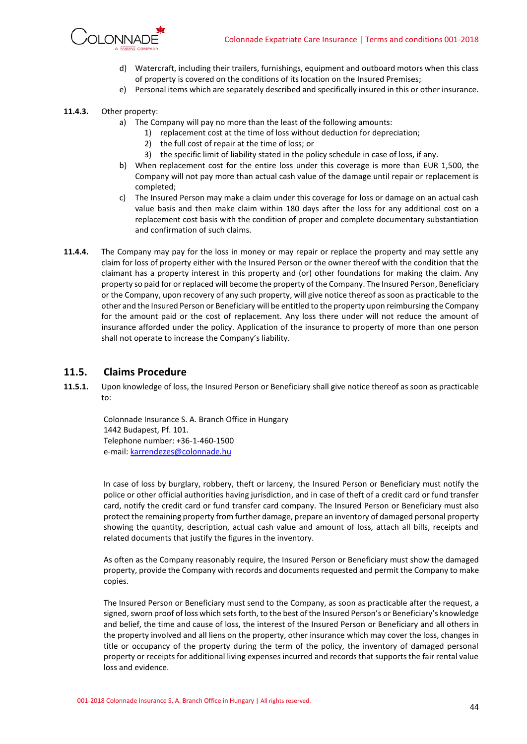

- d) Watercraft, including their trailers, furnishings, equipment and outboard motors when this class of property is covered on the conditions of its location on the Insured Premises;
- e) Personal items which are separately described and specifically insured in this or other insurance.

### **11.4.3.** Other property:

- a) The Company will pay no more than the least of the following amounts:
	- 1) replacement cost at the time of loss without deduction for depreciation;
	- 2) the full cost of repair at the time of loss; or
	- 3) the specific limit of liability stated in the policy schedule in case of loss, if any.
- b) When replacement cost for the entire loss under this coverage is more than EUR 1,500, the Company will not pay more than actual cash value of the damage until repair or replacement is completed;
- c) The Insured Person may make a claim under this coverage for loss or damage on an actual cash value basis and then make claim within 180 days after the loss for any additional cost on a replacement cost basis with the condition of proper and complete documentary substantiation and confirmation of such claims.
- **11.4.4.** The Company may pay for the loss in money or may repair or replace the property and may settle any claim for loss of property either with the Insured Person or the owner thereof with the condition that the claimant has a property interest in this property and (or) other foundations for making the claim. Any property so paid for or replaced will become the property of the Company. The Insured Person, Beneficiary or the Company, upon recovery of any such property, will give notice thereof as soon as practicable to the other and the Insured Person or Beneficiary will be entitled to the property upon reimbursing the Company for the amount paid or the cost of replacement. Any loss there under will not reduce the amount of insurance afforded under the policy. Application of the insurance to property of more than one person shall not operate to increase the Company's liability.

### <span id="page-43-0"></span>**11.5. Claims Procedure**

**11.5.1.** Upon knowledge of loss, the Insured Person or Beneficiary shall give notice thereof as soon as practicable to:

Colonnade Insurance S. A. Branch Office in Hungary 1442 Budapest, Pf. 101. Telephone number: +36-1-460-1500 e-mail[: karrendezes@colonnade.hu](mailto:karrendezes@colonnade.hu)

In case of loss by burglary, robbery, theft or larceny, the Insured Person or Beneficiary must notify the police or other official authorities having jurisdiction, and in case of theft of a credit card or fund transfer card, notify the credit card or fund transfer card company. The Insured Person or Beneficiary must also protect the remaining property from further damage, prepare an inventory of damaged personal property showing the quantity, description, actual cash value and amount of loss, attach all bills, receipts and related documents that justify the figures in the inventory.

As often as the Company reasonably require, the Insured Person or Beneficiary must show the damaged property, provide the Company with records and documents requested and permit the Company to make copies.

The Insured Person or Beneficiary must send to the Company, as soon as practicable after the request, a signed, sworn proof of loss which sets forth, to the best of the Insured Person's or Beneficiary's knowledge and belief, the time and cause of loss, the interest of the Insured Person or Beneficiary and all others in the property involved and all liens on the property, other insurance which may cover the loss, changes in title or occupancy of the property during the term of the policy, the inventory of damaged personal property or receipts for additional living expenses incurred and records that supports the fair rental value loss and evidence.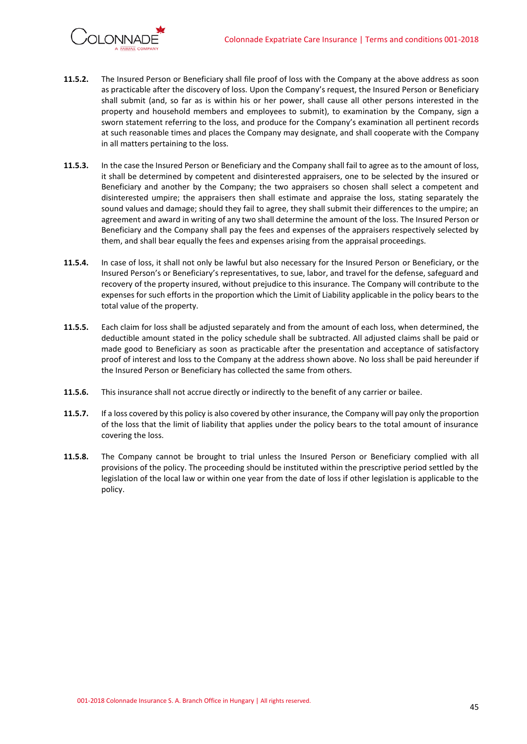

- **11.5.2.** The Insured Person or Beneficiary shall file proof of loss with the Company at the above address as soon as practicable after the discovery of loss. Upon the Company's request, the Insured Person or Beneficiary shall submit (and, so far as is within his or her power, shall cause all other persons interested in the property and household members and employees to submit), to examination by the Company, sign a sworn statement referring to the loss, and produce for the Company's examination all pertinent records at such reasonable times and places the Company may designate, and shall cooperate with the Company in all matters pertaining to the loss.
- **11.5.3.** In the case the Insured Person or Beneficiary and the Company shall fail to agree as to the amount of loss, it shall be determined by competent and disinterested appraisers, one to be selected by the insured or Beneficiary and another by the Company; the two appraisers so chosen shall select a competent and disinterested umpire; the appraisers then shall estimate and appraise the loss, stating separately the sound values and damage; should they fail to agree, they shall submit their differences to the umpire; an agreement and award in writing of any two shall determine the amount of the loss. The Insured Person or Beneficiary and the Company shall pay the fees and expenses of the appraisers respectively selected by them, and shall bear equally the fees and expenses arising from the appraisal proceedings.
- **11.5.4.** In case of loss, it shall not only be lawful but also necessary for the Insured Person or Beneficiary, or the Insured Person's or Beneficiary's representatives, to sue, labor, and travel for the defense, safeguard and recovery of the property insured, without prejudice to this insurance. The Company will contribute to the expenses for such efforts in the proportion which the Limit of Liability applicable in the policy bears to the total value of the property.
- **11.5.5.** Each claim for loss shall be adjusted separately and from the amount of each loss, when determined, the deductible amount stated in the policy schedule shall be subtracted. All adjusted claims shall be paid or made good to Beneficiary as soon as practicable after the presentation and acceptance of satisfactory proof of interest and loss to the Company at the address shown above. No loss shall be paid hereunder if the Insured Person or Beneficiary has collected the same from others.
- **11.5.6.** This insurance shall not accrue directly or indirectly to the benefit of any carrier or bailee.
- **11.5.7.** If a loss covered by this policy is also covered by other insurance, the Company will pay only the proportion of the loss that the limit of liability that applies under the policy bears to the total amount of insurance covering the loss.
- **11.5.8.** The Company cannot be brought to trial unless the Insured Person or Beneficiary complied with all provisions of the policy. The proceeding should be instituted within the prescriptive period settled by the legislation of the local law or within one year from the date of loss if other legislation is applicable to the policy.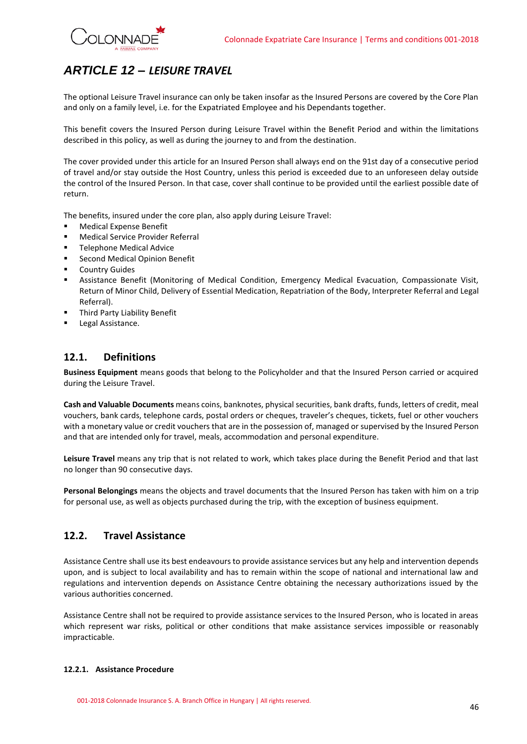

## <span id="page-45-0"></span>*ARTICLE 12 – LEISURE TRAVEL*

The optional Leisure Travel insurance can only be taken insofar as the Insured Persons are covered by the Core Plan and only on a family level, i.e. for the Expatriated Employee and his Dependants together.

This benefit covers the Insured Person during Leisure Travel within the Benefit Period and within the limitations described in this policy, as well as during the journey to and from the destination.

The cover provided under this article for an Insured Person shall always end on the 91st day of a consecutive period of travel and/or stay outside the Host Country, unless this period is exceeded due to an unforeseen delay outside the control of the Insured Person. In that case, cover shall continue to be provided until the earliest possible date of return.

The benefits, insured under the core plan, also apply during Leisure Travel:

- **Medical Expense Benefit**
- **Medical Service Provider Referral**
- **Telephone Medical Advice**
- Second Medical Opinion Benefit
- **Country Guides**
- **E** Assistance Benefit (Monitoring of Medical Condition, Emergency Medical Evacuation, Compassionate Visit, Return of Minor Child, Delivery of Essential Medication, Repatriation of the Body, Interpreter Referral and Legal Referral).
- Third Party Liability Benefit
- Legal Assistance.

### <span id="page-45-1"></span>**12.1. Definitions**

**Business Equipment** means goods that belong to the Policyholder and that the Insured Person carried or acquired during the Leisure Travel.

**Cash and Valuable Documents** means coins, banknotes, physical securities, bank drafts, funds, letters of credit, meal vouchers, bank cards, telephone cards, postal orders or cheques, traveler's cheques, tickets, fuel or other vouchers with a monetary value or credit vouchers that are in the possession of, managed or supervised by the Insured Person and that are intended only for travel, meals, accommodation and personal expenditure.

**Leisure Travel** means any trip that is not related to work, which takes place during the Benefit Period and that last no longer than 90 consecutive days.

**Personal Belongings** means the objects and travel documents that the Insured Person has taken with him on a trip for personal use, as well as objects purchased during the trip, with the exception of business equipment.

### <span id="page-45-2"></span>**12.2. Travel Assistance**

Assistance Centre shall use its best endeavours to provide assistance services but any help and intervention depends upon, and is subject to local availability and has to remain within the scope of national and international law and regulations and intervention depends on Assistance Centre obtaining the necessary authorizations issued by the various authorities concerned.

Assistance Centre shall not be required to provide assistance services to the Insured Person, who is located in areas which represent war risks, political or other conditions that make assistance services impossible or reasonably impracticable.

### **12.2.1. Assistance Procedure**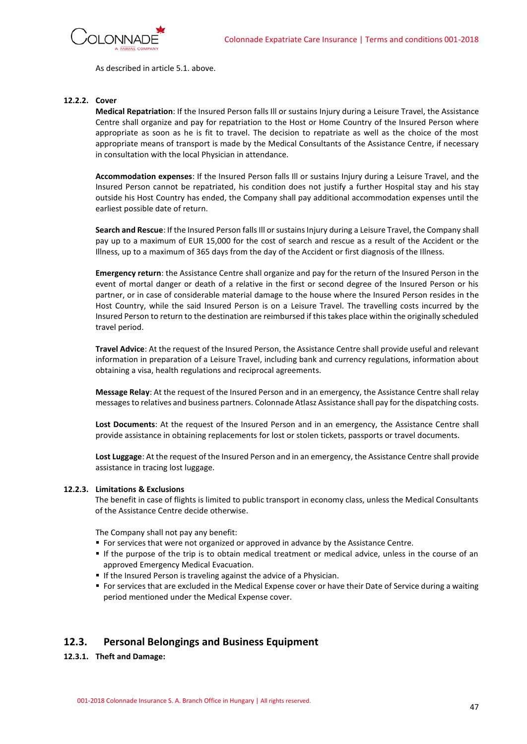

As described in article 5.1. above.

### **12.2.2. Cover**

**Medical Repatriation**: If the Insured Person falls Ill or sustains Injury during a Leisure Travel, the Assistance Centre shall organize and pay for repatriation to the Host or Home Country of the Insured Person where appropriate as soon as he is fit to travel. The decision to repatriate as well as the choice of the most appropriate means of transport is made by the Medical Consultants of the Assistance Centre, if necessary in consultation with the local Physician in attendance.

**Accommodation expenses**: If the Insured Person falls Ill or sustains Injury during a Leisure Travel, and the Insured Person cannot be repatriated, his condition does not justify a further Hospital stay and his stay outside his Host Country has ended, the Company shall pay additional accommodation expenses until the earliest possible date of return.

**Search and Rescue**: If the Insured Person falls Ill or sustains Injury during a Leisure Travel, the Company shall pay up to a maximum of EUR 15,000 for the cost of search and rescue as a result of the Accident or the Illness, up to a maximum of 365 days from the day of the Accident or first diagnosis of the Illness.

**Emergency return**: the Assistance Centre shall organize and pay for the return of the Insured Person in the event of mortal danger or death of a relative in the first or second degree of the Insured Person or his partner, or in case of considerable material damage to the house where the Insured Person resides in the Host Country, while the said Insured Person is on a Leisure Travel. The travelling costs incurred by the Insured Person to return to the destination are reimbursed if this takes place within the originally scheduled travel period.

**Travel Advice**: At the request of the Insured Person, the Assistance Centre shall provide useful and relevant information in preparation of a Leisure Travel, including bank and currency regulations, information about obtaining a visa, health regulations and reciprocal agreements.

**Message Relay**: At the request of the Insured Person and in an emergency, the Assistance Centre shall relay messages to relatives and business partners. Colonnade Atlasz Assistance shall pay for the dispatching costs.

**Lost Documents**: At the request of the Insured Person and in an emergency, the Assistance Centre shall provide assistance in obtaining replacements for lost or stolen tickets, passports or travel documents.

**Lost Luggage**: At the request of the Insured Person and in an emergency, the Assistance Centre shall provide assistance in tracing lost luggage.

### **12.2.3. Limitations & Exclusions**

The benefit in case of flights is limited to public transport in economy class, unless the Medical Consultants of the Assistance Centre decide otherwise.

The Company shall not pay any benefit:

- **For services that were not organized or approved in advance by the Assistance Centre.**
- If the purpose of the trip is to obtain medical treatment or medical advice, unless in the course of an approved Emergency Medical Evacuation.
- **If the Insured Person is traveling against the advice of a Physician.**
- For services that are excluded in the Medical Expense cover or have their Date of Service during a waiting period mentioned under the Medical Expense cover.

### <span id="page-46-0"></span>**12.3. Personal Belongings and Business Equipment**

**12.3.1. Theft and Damage:**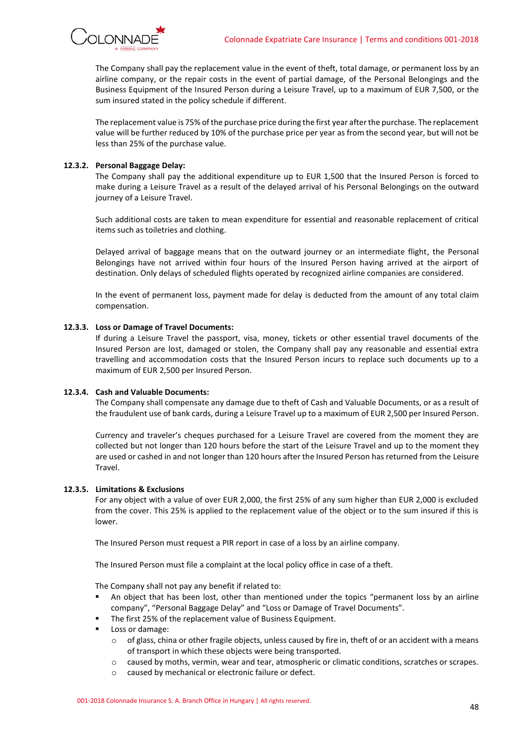

The Company shall pay the replacement value in the event of theft, total damage, or permanent loss by an airline company, or the repair costs in the event of partial damage, of the Personal Belongings and the Business Equipment of the Insured Person during a Leisure Travel, up to a maximum of EUR 7,500, or the sum insured stated in the policy schedule if different.

The replacement value is 75% of the purchase price during the first year after the purchase. The replacement value will be further reduced by 10% of the purchase price per year as from the second year, but will not be less than 25% of the purchase value.

### **12.3.2. Personal Baggage Delay:**

The Company shall pay the additional expenditure up to EUR 1,500 that the Insured Person is forced to make during a Leisure Travel as a result of the delayed arrival of his Personal Belongings on the outward journey of a Leisure Travel.

Such additional costs are taken to mean expenditure for essential and reasonable replacement of critical items such as toiletries and clothing.

Delayed arrival of baggage means that on the outward journey or an intermediate flight, the Personal Belongings have not arrived within four hours of the Insured Person having arrived at the airport of destination. Only delays of scheduled flights operated by recognized airline companies are considered.

In the event of permanent loss, payment made for delay is deducted from the amount of any total claim compensation.

### **12.3.3. Loss or Damage of Travel Documents:**

If during a Leisure Travel the passport, visa, money, tickets or other essential travel documents of the Insured Person are lost, damaged or stolen, the Company shall pay any reasonable and essential extra travelling and accommodation costs that the Insured Person incurs to replace such documents up to a maximum of EUR 2,500 per Insured Person.

### **12.3.4. Cash and Valuable Documents:**

The Company shall compensate any damage due to theft of Cash and Valuable Documents, or as a result of the fraudulent use of bank cards, during a Leisure Travel up to a maximum of EUR 2,500 per Insured Person.

Currency and traveler's cheques purchased for a Leisure Travel are covered from the moment they are collected but not longer than 120 hours before the start of the Leisure Travel and up to the moment they are used or cashed in and not longer than 120 hours after the Insured Person has returned from the Leisure Travel.

#### **12.3.5. Limitations & Exclusions**

For any object with a value of over EUR 2,000, the first 25% of any sum higher than EUR 2,000 is excluded from the cover. This 25% is applied to the replacement value of the object or to the sum insured if this is lower.

The Insured Person must request a PIR report in case of a loss by an airline company.

The Insured Person must file a complaint at the local policy office in case of a theft.

The Company shall not pay any benefit if related to:

- An object that has been lost, other than mentioned under the topics "permanent loss by an airline company", "Personal Baggage Delay" and "Loss or Damage of Travel Documents".
- The first 25% of the replacement value of Business Equipment.
- Loss or damage:
	- $\circ$  of glass, china or other fragile objects, unless caused by fire in, theft of or an accident with a means of transport in which these objects were being transported.
	- o caused by moths, vermin, wear and tear, atmospheric or climatic conditions, scratches or scrapes.
	- o caused by mechanical or electronic failure or defect.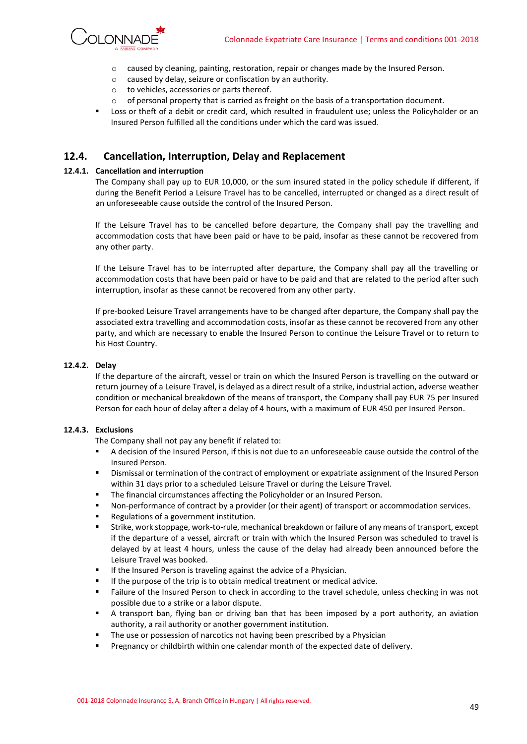

- o caused by cleaning, painting, restoration, repair or changes made by the Insured Person.
- o caused by delay, seizure or confiscation by an authority.
- o to vehicles, accessories or parts thereof.
- $\circ$  of personal property that is carried as freight on the basis of a transportation document.
- Loss or theft of a debit or credit card, which resulted in fraudulent use; unless the Policyholder or an Insured Person fulfilled all the conditions under which the card was issued.

### <span id="page-48-0"></span>**12.4. Cancellation, Interruption, Delay and Replacement**

### **12.4.1. Cancellation and interruption**

The Company shall pay up to EUR 10,000, or the sum insured stated in the policy schedule if different, if during the Benefit Period a Leisure Travel has to be cancelled, interrupted or changed as a direct result of an unforeseeable cause outside the control of the Insured Person.

If the Leisure Travel has to be cancelled before departure, the Company shall pay the travelling and accommodation costs that have been paid or have to be paid, insofar as these cannot be recovered from any other party.

If the Leisure Travel has to be interrupted after departure, the Company shall pay all the travelling or accommodation costs that have been paid or have to be paid and that are related to the period after such interruption, insofar as these cannot be recovered from any other party.

If pre-booked Leisure Travel arrangements have to be changed after departure, the Company shall pay the associated extra travelling and accommodation costs, insofar as these cannot be recovered from any other party, and which are necessary to enable the Insured Person to continue the Leisure Travel or to return to his Host Country.

### **12.4.2. Delay**

If the departure of the aircraft, vessel or train on which the Insured Person is travelling on the outward or return journey of a Leisure Travel, is delayed as a direct result of a strike, industrial action, adverse weather condition or mechanical breakdown of the means of transport, the Company shall pay EUR 75 per Insured Person for each hour of delay after a delay of 4 hours, with a maximum of EUR 450 per Insured Person.

### **12.4.3. Exclusions**

The Company shall not pay any benefit if related to:

- A decision of the Insured Person, if this is not due to an unforeseeable cause outside the control of the Insured Person.
- **■** Dismissal or termination of the contract of employment or expatriate assignment of the Insured Person within 31 days prior to a scheduled Leisure Travel or during the Leisure Travel.
- The financial circumstances affecting the Policyholder or an Insured Person.
- Non-performance of contract by a provider (or their agent) of transport or accommodation services.
- Regulations of a government institution.
- Strike, work stoppage, work-to-rule, mechanical breakdown or failure of any means of transport, except if the departure of a vessel, aircraft or train with which the Insured Person was scheduled to travel is delayed by at least 4 hours, unless the cause of the delay had already been announced before the Leisure Travel was booked.
- If the Insured Person is traveling against the advice of a Physician.
- If the purpose of the trip is to obtain medical treatment or medical advice.
- Failure of the Insured Person to check in according to the travel schedule, unless checking in was not possible due to a strike or a labor dispute.
- A transport ban, flying ban or driving ban that has been imposed by a port authority, an aviation authority, a rail authority or another government institution.
- The use or possession of narcotics not having been prescribed by a Physician
- **•** Pregnancy or childbirth within one calendar month of the expected date of delivery.